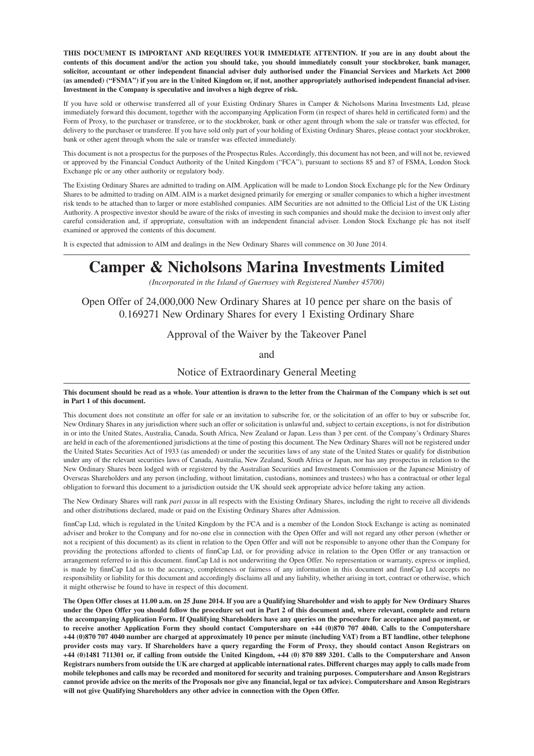**THIS DOCUMENT IS IMPORTANT AND REQUIRES YOUR IMMEDIATE ATTENTION. If you are in any doubt about the contents of this document and/or the action you should take, you should immediately consult your stockbroker, bank manager, solicitor, accountant or other independent financial adviser duly authorised under the Financial Services and Markets Act 2000 (as amended) ("FSMA") if you are in the United Kingdom or, if not, another appropriately authorised independent financial adviser. Investment in the Company is speculative and involves a high degree of risk.**

If you have sold or otherwise transferred all of your Existing Ordinary Shares in Camper & Nicholsons Marina Investments Ltd, please immediately forward this document, together with the accompanying Application Form (in respect of shares held in certificated form) and the Form of Proxy, to the purchaser or transferee, or to the stockbroker, bank or other agent through whom the sale or transfer was effected, for delivery to the purchaser or transferee. If you have sold only part of your holding of Existing Ordinary Shares, please contact your stockbroker, bank or other agent through whom the sale or transfer was effected immediately.

This document is not a prospectus for the purposes of the Prospectus Rules. Accordingly, this document has not been, and will not be, reviewed or approved by the Financial Conduct Authority of the United Kingdom ("FCA"), pursuant to sections 85 and 87 of FSMA, London Stock Exchange plc or any other authority or regulatory body.

The Existing Ordinary Shares are admitted to trading on AIM. Application will be made to London Stock Exchange plc for the New Ordinary Shares to be admitted to trading on AIM. AIM is a market designed primarily for emerging or smaller companies to which a higher investment risk tends to be attached than to larger or more established companies. AIM Securities are not admitted to the Official List of the UK Listing Authority. A prospective investor should be aware of the risks of investing in such companies and should make the decision to invest only after careful consideration and, if appropriate, consultation with an independent financial adviser. London Stock Exchange plc has not itself examined or approved the contents of this document.

It is expected that admission to AIM and dealings in the New Ordinary Shares will commence on 30 June 2014.

# **Camper & Nicholsons Marina Investments Limited**

*(Incorporated in the Island of Guernsey with Registered Number 45700)*

Open Offer of 24,000,000 New Ordinary Shares at 10 pence per share on the basis of 0.169271 New Ordinary Shares for every 1 Existing Ordinary Share

Approval of the Waiver by the Takeover Panel

and

Notice of Extraordinary General Meeting

**This document should be read as a whole. Your attention is drawn to the letter from the Chairman of the Company which is set out in Part 1 of this document.**

This document does not constitute an offer for sale or an invitation to subscribe for, or the solicitation of an offer to buy or subscribe for, New Ordinary Shares in any jurisdiction where such an offer or solicitation is unlawful and, subject to certain exceptions, is not for distribution in or into the United States, Australia, Canada, South Africa, New Zealand or Japan. Less than 3 per cent. of the Company's Ordinary Shares are held in each of the aforementioned jurisdictions at the time of posting this document. The New Ordinary Shares will not be registered under the United States Securities Act of 1933 (as amended) or under the securities laws of any state of the United States or qualify for distribution under any of the relevant securities laws of Canada, Australia, New Zealand, South Africa or Japan, nor has any prospectus in relation to the New Ordinary Shares been lodged with or registered by the Australian Securities and Investments Commission or the Japanese Ministry of Overseas Shareholders and any person (including, without limitation, custodians, nominees and trustees) who has a contractual or other legal obligation to forward this document to a jurisdiction outside the UK should seek appropriate advice before taking any action.

The New Ordinary Shares will rank *pari passu* in all respects with the Existing Ordinary Shares, including the right to receive all dividends and other distributions declared, made or paid on the Existing Ordinary Shares after Admission.

finnCap Ltd, which is regulated in the United Kingdom by the FCA and is a member of the London Stock Exchange is acting as nominated adviser and broker to the Company and for no-one else in connection with the Open Offer and will not regard any other person (whether or not a recipient of this document) as its client in relation to the Open Offer and will not be responsible to anyone other than the Company for providing the protections afforded to clients of finnCap Ltd, or for providing advice in relation to the Open Offer or any transaction or arrangement referred to in this document. finnCap Ltd is not underwriting the Open Offer. No representation or warranty, express or implied, is made by finnCap Ltd as to the accuracy, completeness or fairness of any information in this document and finnCap Ltd accepts no responsibility or liability for this document and accordingly disclaims all and any liability, whether arising in tort, contract or otherwise, which it might otherwise be found to have in respect of this document.

**The Open Offer closes at 11.00 a.m. on 25 June 2014. If you are a Qualifying Shareholder and wish to apply for New Ordinary Shares under the Open Offer you should follow the procedure set out in Part 2 of this document and, where relevant, complete and return the accompanying Application Form. If Qualifying Shareholders have any queries on the procedure for acceptance and payment, or to receive another Application Form they should contact Computershare on +44 (0)870 707 4040. Calls to the Computershare +44 (0)870 707 4040 number are charged at approximately 10 pence per minute (including VAT) from a BT landline, other telephone provider costs may vary. If Shareholders have a query regarding the Form of Proxy, they should contact Anson Registrars on +44 (0)1481 711301 or, if calling from outside the United Kingdom, +44 (0) 870 889 3201. Calls to the Computershare and Anson Registrars numbers from outside the UK are charged at applicable international rates. Different charges may apply to calls made from mobile telephones and calls may be recorded and monitored for security and training purposes. Computershare and Anson Registrars cannot provide advice on the merits of the Proposals nor give any financial, legal or tax advice). Computershare and Anson Registrars will not give Qualifying Shareholders any other advice in connection with the Open Offer.**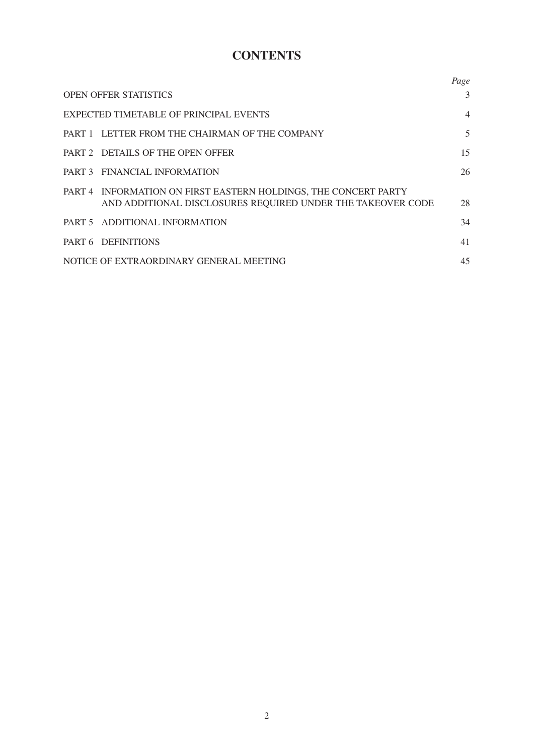# **CONTENTS**

|                                                                                                                                | Page           |
|--------------------------------------------------------------------------------------------------------------------------------|----------------|
| <b>OPEN OFFER STATISTICS</b>                                                                                                   | 3              |
| EXPECTED TIMETABLE OF PRINCIPAL EVENTS                                                                                         | $\overline{4}$ |
| PART 1 LETTER FROM THE CHAIRMAN OF THE COMPANY                                                                                 | 5              |
| PART 2 DETAILS OF THE OPEN OFFER                                                                                               | 15             |
| PART 3 FINANCIAL INFORMATION                                                                                                   | 26             |
| PART 4 INFORMATION ON FIRST EASTERN HOLDINGS, THE CONCERT PARTY<br>AND ADDITIONAL DISCLOSURES REQUIRED UNDER THE TAKEOVER CODE | 28             |
| PART 5 ADDITIONAL INFORMATION                                                                                                  | 34             |
| PART 6 DEFINITIONS                                                                                                             | 41             |
| NOTICE OF EXTRAORDINARY GENERAL MEETING                                                                                        | 45             |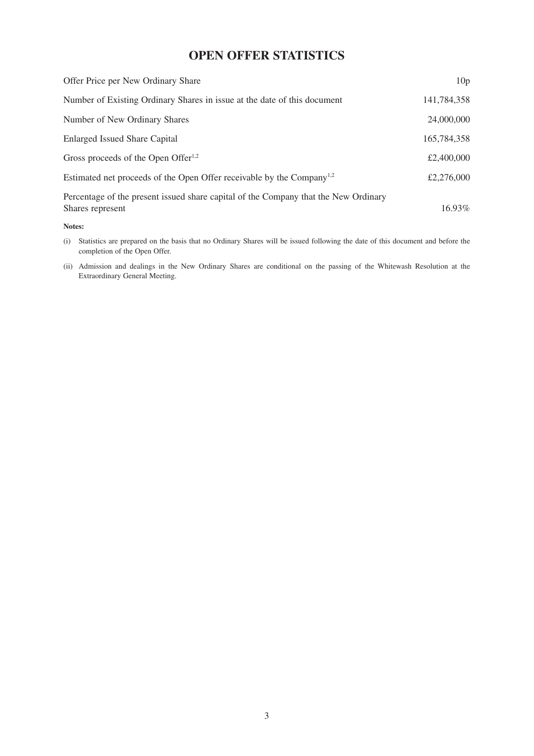# **OPEN OFFER STATISTICS**

| Offer Price per New Ordinary Share                                                                      | 10 <sub>p</sub> |
|---------------------------------------------------------------------------------------------------------|-----------------|
| Number of Existing Ordinary Shares in issue at the date of this document                                | 141,784,358     |
| Number of New Ordinary Shares                                                                           | 24,000,000      |
| <b>Enlarged Issued Share Capital</b>                                                                    | 165,784,358     |
| Gross proceeds of the Open Offer $1,2$                                                                  | £2,400,000      |
| Estimated net proceeds of the Open Offer receivable by the Company <sup>1,2</sup>                       | £2,276,000      |
| Percentage of the present issued share capital of the Company that the New Ordinary<br>Shares represent | $16.93\%$       |

#### **Notes:**

- (i) Statistics are prepared on the basis that no Ordinary Shares will be issued following the date of this document and before the completion of the Open Offer.
- (ii) Admission and dealings in the New Ordinary Shares are conditional on the passing of the Whitewash Resolution at the Extraordinary General Meeting.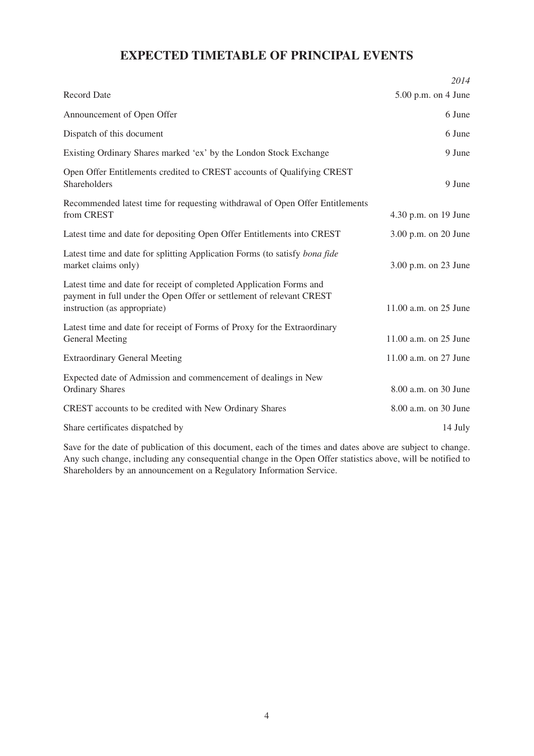# **EXPECTED TIMETABLE OF PRINCIPAL EVENTS**

|                                                                                                                                                                             | 2014                  |
|-----------------------------------------------------------------------------------------------------------------------------------------------------------------------------|-----------------------|
| <b>Record Date</b>                                                                                                                                                          | $5.00$ p.m. on 4 June |
| Announcement of Open Offer                                                                                                                                                  | 6 June                |
| Dispatch of this document                                                                                                                                                   | 6 June                |
| Existing Ordinary Shares marked 'ex' by the London Stock Exchange                                                                                                           | 9 June                |
| Open Offer Entitlements credited to CREST accounts of Qualifying CREST<br>Shareholders                                                                                      | 9 June                |
| Recommended latest time for requesting withdrawal of Open Offer Entitlements<br>from CREST                                                                                  | 4.30 p.m. on 19 June  |
| Latest time and date for depositing Open Offer Entitlements into CREST                                                                                                      | 3.00 p.m. on 20 June  |
| Latest time and date for splitting Application Forms (to satisfy bona fide<br>market claims only)                                                                           | 3.00 p.m. on 23 June  |
| Latest time and date for receipt of completed Application Forms and<br>payment in full under the Open Offer or settlement of relevant CREST<br>instruction (as appropriate) | 11.00 a.m. on 25 June |
| Latest time and date for receipt of Forms of Proxy for the Extraordinary<br><b>General Meeting</b>                                                                          | 11.00 a.m. on 25 June |
| <b>Extraordinary General Meeting</b>                                                                                                                                        | 11.00 a.m. on 27 June |
| Expected date of Admission and commencement of dealings in New<br><b>Ordinary Shares</b>                                                                                    | 8.00 a.m. on 30 June  |
| CREST accounts to be credited with New Ordinary Shares                                                                                                                      | 8.00 a.m. on 30 June  |
| Share certificates dispatched by                                                                                                                                            | 14 July               |

Save for the date of publication of this document, each of the times and dates above are subject to change. Any such change, including any consequential change in the Open Offer statistics above, will be notified to Shareholders by an announcement on a Regulatory Information Service.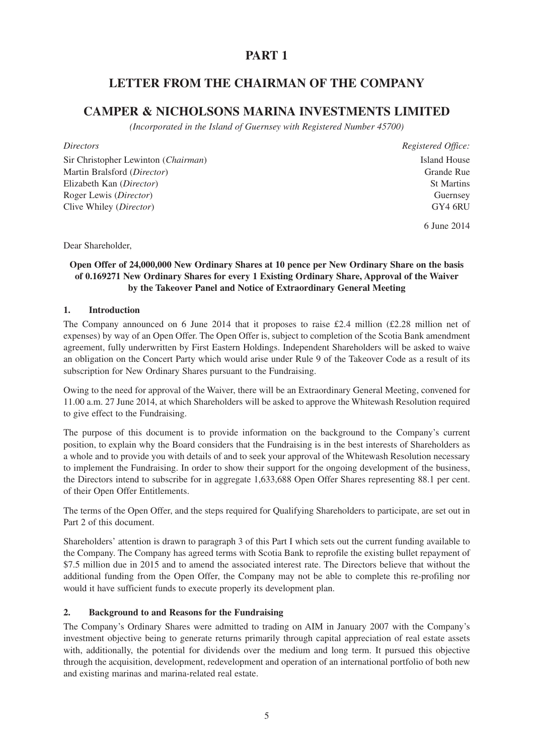# **PART 1**

# **LETTER FROM THE CHAIRMAN OF THE COMPANY**

# **CAMPER & NICHOLSONS MARINA INVESTMENTS LIMITED**

*(Incorporated in the Island of Guernsey with Registered Number 45700)*

Sir Christopher Lewinton (*Chairman*) Island House Martin Bralsford (*Director*) Grande Rue Elizabeth Kan (*Director*) St Martins Roger Lewis (*Director*) Guernsey Clive Whiley (*Director*) **GY4 6RU** GY4 6RU

*Directors Registered Office:*

6 June 2014

Dear Shareholder,

# **Open Offer of 24,000,000 New Ordinary Shares at 10 pence per New Ordinary Share on the basis of 0.169271 New Ordinary Shares for every 1 Existing Ordinary Share, Approval of the Waiver by the Takeover Panel and Notice of Extraordinary General Meeting**

# **1. Introduction**

The Company announced on 6 June 2014 that it proposes to raise £2.4 million (£2.28 million net of expenses) by way of an Open Offer. The Open Offer is, subject to completion of the Scotia Bank amendment agreement, fully underwritten by First Eastern Holdings. Independent Shareholders will be asked to waive an obligation on the Concert Party which would arise under Rule 9 of the Takeover Code as a result of its subscription for New Ordinary Shares pursuant to the Fundraising.

Owing to the need for approval of the Waiver, there will be an Extraordinary General Meeting, convened for 11.00 a.m. 27 June 2014, at which Shareholders will be asked to approve the Whitewash Resolution required to give effect to the Fundraising.

The purpose of this document is to provide information on the background to the Company's current position, to explain why the Board considers that the Fundraising is in the best interests of Shareholders as a whole and to provide you with details of and to seek your approval of the Whitewash Resolution necessary to implement the Fundraising. In order to show their support for the ongoing development of the business, the Directors intend to subscribe for in aggregate 1,633,688 Open Offer Shares representing 88.1 per cent. of their Open Offer Entitlements.

The terms of the Open Offer, and the steps required for Qualifying Shareholders to participate, are set out in Part 2 of this document.

Shareholders' attention is drawn to paragraph 3 of this Part I which sets out the current funding available to the Company. The Company has agreed terms with Scotia Bank to reprofile the existing bullet repayment of \$7.5 million due in 2015 and to amend the associated interest rate. The Directors believe that without the additional funding from the Open Offer, the Company may not be able to complete this re-profiling nor would it have sufficient funds to execute properly its development plan.

# **2. Background to and Reasons for the Fundraising**

The Company's Ordinary Shares were admitted to trading on AIM in January 2007 with the Company's investment objective being to generate returns primarily through capital appreciation of real estate assets with, additionally, the potential for dividends over the medium and long term. It pursued this objective through the acquisition, development, redevelopment and operation of an international portfolio of both new and existing marinas and marina-related real estate.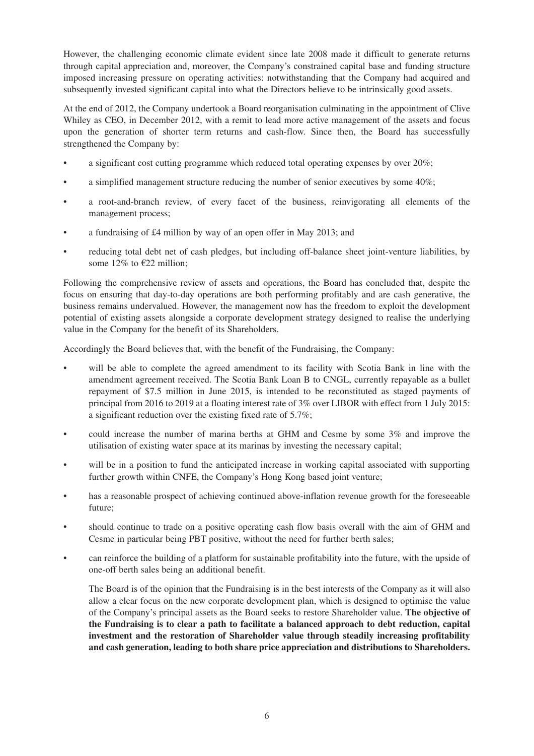However, the challenging economic climate evident since late 2008 made it difficult to generate returns through capital appreciation and, moreover, the Company's constrained capital base and funding structure imposed increasing pressure on operating activities: notwithstanding that the Company had acquired and subsequently invested significant capital into what the Directors believe to be intrinsically good assets.

At the end of 2012, the Company undertook a Board reorganisation culminating in the appointment of Clive Whiley as CEO, in December 2012, with a remit to lead more active management of the assets and focus upon the generation of shorter term returns and cash-flow. Since then, the Board has successfully strengthened the Company by:

- a significant cost cutting programme which reduced total operating expenses by over 20%;
- a simplified management structure reducing the number of senior executives by some 40%;
- a root-and-branch review, of every facet of the business, reinvigorating all elements of the management process;
- a fundraising of £4 million by way of an open offer in May 2013; and
- reducing total debt net of cash pledges, but including off-balance sheet joint-venture liabilities, by some 12% to  $\epsilon$ 22 million;

Following the comprehensive review of assets and operations, the Board has concluded that, despite the focus on ensuring that day-to-day operations are both performing profitably and are cash generative, the business remains undervalued. However, the management now has the freedom to exploit the development potential of existing assets alongside a corporate development strategy designed to realise the underlying value in the Company for the benefit of its Shareholders.

Accordingly the Board believes that, with the benefit of the Fundraising, the Company:

- will be able to complete the agreed amendment to its facility with Scotia Bank in line with the amendment agreement received. The Scotia Bank Loan B to CNGL, currently repayable as a bullet repayment of \$7.5 million in June 2015, is intended to be reconstituted as staged payments of principal from 2016 to 2019 at a floating interest rate of 3% over LIBOR with effect from 1 July 2015: a significant reduction over the existing fixed rate of 5.7%;
- could increase the number of marina berths at GHM and Cesme by some 3% and improve the utilisation of existing water space at its marinas by investing the necessary capital;
- will be in a position to fund the anticipated increase in working capital associated with supporting further growth within CNFE, the Company's Hong Kong based joint venture;
- has a reasonable prospect of achieving continued above-inflation revenue growth for the foreseeable future;
- should continue to trade on a positive operating cash flow basis overall with the aim of GHM and Cesme in particular being PBT positive, without the need for further berth sales;
- can reinforce the building of a platform for sustainable profitability into the future, with the upside of one-off berth sales being an additional benefit.

The Board is of the opinion that the Fundraising is in the best interests of the Company as it will also allow a clear focus on the new corporate development plan, which is designed to optimise the value of the Company's principal assets as the Board seeks to restore Shareholder value. **The objective of the Fundraising is to clear a path to facilitate a balanced approach to debt reduction, capital investment and the restoration of Shareholder value through steadily increasing profitability and cash generation, leading to both share price appreciation and distributions to Shareholders.**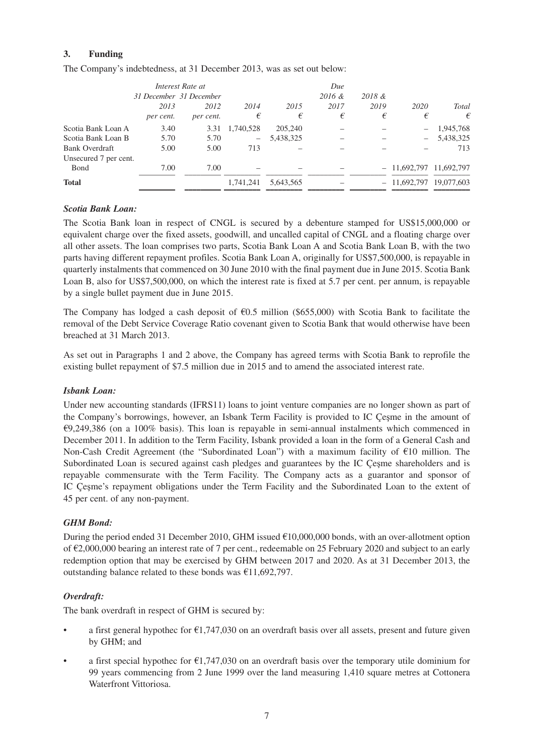# **3. Funding**

The Company's indebtedness, at 31 December 2013, was as set out below:

| Interest Rate at      |                         |           |                          |           | Due    |      |                          |              |
|-----------------------|-------------------------|-----------|--------------------------|-----------|--------|------|--------------------------|--------------|
|                       | 31 December 31 December |           |                          | 2016 &    | 2018 & |      |                          |              |
|                       | 2013                    | 2012      | 2014                     | 2015      | 2017   | 2019 | 2020                     | <b>Total</b> |
|                       | per cent.               | per cent. | €                        | €         | €      | €    | €                        | €            |
| Scotia Bank Loan A    | 3.40                    | 3.31      | 1.740.528                | 205,240   |        |      | $\overline{\phantom{m}}$ | 1,945,768    |
| Scotia Bank Loan B    | 5.70                    | 5.70      | $\overline{\phantom{m}}$ | 5,438,325 |        |      | $\qquad \qquad -$        | 5,438,325    |
| Bank Overdraft        | 5.00                    | 5.00      | 713                      |           |        |      |                          | 713          |
| Unsecured 7 per cent. |                         |           |                          |           |        |      |                          |              |
| Bond                  | 7.00                    | 7.00      |                          |           |        |      | $-11,692,797$ 11,692,797 |              |
| <b>Total</b>          |                         |           | 1,741,241                | 5,643,565 |        |      | $-11,692,797$            | 19,077,603   |
|                       |                         |           |                          |           |        |      |                          |              |

#### *Scotia Bank Loan:*

The Scotia Bank loan in respect of CNGL is secured by a debenture stamped for US\$15,000,000 or equivalent charge over the fixed assets, goodwill, and uncalled capital of CNGL and a floating charge over all other assets. The loan comprises two parts, Scotia Bank Loan A and Scotia Bank Loan B, with the two parts having different repayment profiles. Scotia Bank Loan A, originally for US\$7,500,000, is repayable in quarterly instalments that commenced on 30 June 2010 with the final payment due in June 2015. Scotia Bank Loan B, also for US\$7,500,000, on which the interest rate is fixed at 5.7 per cent. per annum, is repayable by a single bullet payment due in June 2015.

The Company has lodged a cash deposit of  $\epsilon$ 0.5 million (\$655,000) with Scotia Bank to facilitate the removal of the Debt Service Coverage Ratio covenant given to Scotia Bank that would otherwise have been breached at 31 March 2013.

As set out in Paragraphs 1 and 2 above, the Company has agreed terms with Scotia Bank to reprofile the existing bullet repayment of \$7.5 million due in 2015 and to amend the associated interest rate.

# *Isbank Loan:*

Under new accounting standards (IFRS11) loans to joint venture companies are no longer shown as part of the Company's borrowings, however, an Isbank Term Facility is provided to IC Çeşme in the amount of €9,249,386 (on a 100% basis). This loan is repayable in semi-annual instalments which commenced in December 2011. In addition to the Term Facility, Isbank provided a loan in the form of a General Cash and Non-Cash Credit Agreement (the "Subordinated Loan") with a maximum facility of €10 million. The Subordinated Loan is secured against cash pledges and guarantees by the IC Çeşme shareholders and is repayable commensurate with the Term Facility. The Company acts as a guarantor and sponsor of IC Çeşme's repayment obligations under the Term Facility and the Subordinated Loan to the extent of 45 per cent. of any non-payment.

# *GHM Bond:*

During the period ended 31 December 2010, GHM issued €10,000,000 bonds, with an over-allotment option of €2,000,000 bearing an interest rate of 7 per cent., redeemable on 25 February 2020 and subject to an early redemption option that may be exercised by GHM between 2017 and 2020. As at 31 December 2013, the outstanding balance related to these bonds was €11,692,797.

# *Overdraft:*

The bank overdraft in respect of GHM is secured by:

- a first general hypothec for  $\epsilon$ 1,747,030 on an overdraft basis over all assets, present and future given by GHM; and
- a first special hypothec for  $\epsilon$ 1,747,030 on an overdraft basis over the temporary utile dominium for 99 years commencing from 2 June 1999 over the land measuring 1,410 square metres at Cottonera Waterfront Vittoriosa.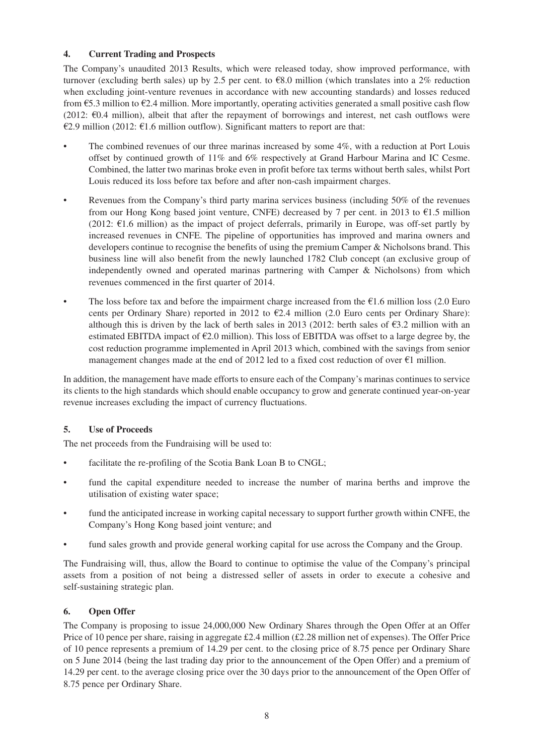# **4. Current Trading and Prospects**

The Company's unaudited 2013 Results, which were released today, show improved performance, with turnover (excluding berth sales) up by 2.5 per cent. to €8.0 million (which translates into a 2% reduction when excluding joint-venture revenues in accordance with new accounting standards) and losses reduced from  $65.3$  million to  $62.4$  million. More importantly, operating activities generated a small positive cash flow (2012:  $\epsilon$ 0.4 million), albeit that after the repayment of borrowings and interest, net cash outflows were €2.9 million (2012: €1.6 million outflow). Significant matters to report are that:

- The combined revenues of our three marinas increased by some 4%, with a reduction at Port Louis offset by continued growth of 11% and 6% respectively at Grand Harbour Marina and IC Cesme. Combined, the latter two marinas broke even in profit before tax terms without berth sales, whilst Port Louis reduced its loss before tax before and after non-cash impairment charges.
- Revenues from the Company's third party marina services business (including 50% of the revenues from our Hong Kong based joint venture, CNFE) decreased by 7 per cent. in 2013 to  $\epsilon$ 1.5 million  $(2012: \text{ } \infty 1.6 \text{ million})$  as the impact of project deferrals, primarily in Europe, was off-set partly by increased revenues in CNFE. The pipeline of opportunities has improved and marina owners and developers continue to recognise the benefits of using the premium Camper & Nicholsons brand. This business line will also benefit from the newly launched 1782 Club concept (an exclusive group of independently owned and operated marinas partnering with Camper & Nicholsons) from which revenues commenced in the first quarter of 2014.
- The loss before tax and before the impairment charge increased from the  $\epsilon$ 1.6 million loss (2.0 Euro cents per Ordinary Share) reported in 2012 to €2.4 million (2.0 Euro cents per Ordinary Share): although this is driven by the lack of berth sales in 2013 (2012: berth sales of  $63.2$  million with an estimated EBITDA impact of  $E2.0$  million). This loss of EBITDA was offset to a large degree by, the cost reduction programme implemented in April 2013 which, combined with the savings from senior management changes made at the end of 2012 led to a fixed cost reduction of over  $\epsilon$ 1 million.

In addition, the management have made efforts to ensure each of the Company's marinas continues to service its clients to the high standards which should enable occupancy to grow and generate continued year-on-year revenue increases excluding the impact of currency fluctuations.

# **5. Use of Proceeds**

The net proceeds from the Fundraising will be used to:

- facilitate the re-profiling of the Scotia Bank Loan B to CNGL;
- fund the capital expenditure needed to increase the number of marina berths and improve the utilisation of existing water space;
- fund the anticipated increase in working capital necessary to support further growth within CNFE, the Company's Hong Kong based joint venture; and
- fund sales growth and provide general working capital for use across the Company and the Group.

The Fundraising will, thus, allow the Board to continue to optimise the value of the Company's principal assets from a position of not being a distressed seller of assets in order to execute a cohesive and self-sustaining strategic plan.

# **6. Open Offer**

The Company is proposing to issue 24,000,000 New Ordinary Shares through the Open Offer at an Offer Price of 10 pence per share, raising in aggregate £2.4 million (£2.28 million net of expenses). The Offer Price of 10 pence represents a premium of 14.29 per cent. to the closing price of 8.75 pence per Ordinary Share on 5 June 2014 (being the last trading day prior to the announcement of the Open Offer) and a premium of 14.29 per cent. to the average closing price over the 30 days prior to the announcement of the Open Offer of 8.75 pence per Ordinary Share.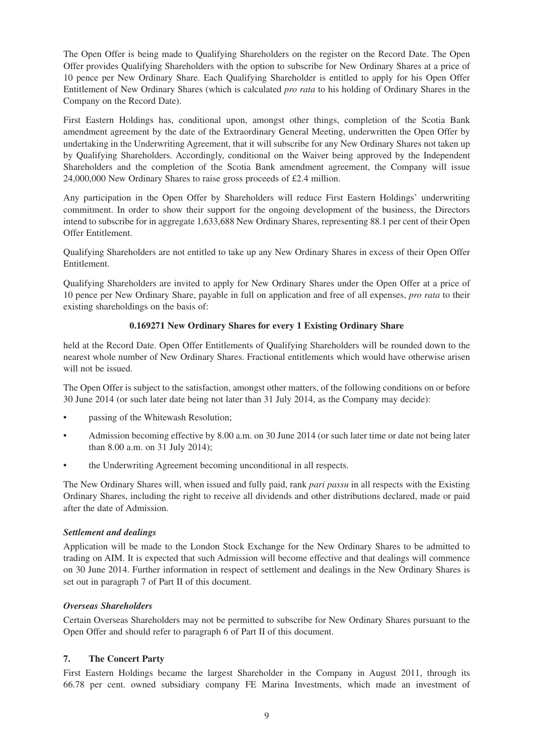The Open Offer is being made to Qualifying Shareholders on the register on the Record Date. The Open Offer provides Qualifying Shareholders with the option to subscribe for New Ordinary Shares at a price of 10 pence per New Ordinary Share. Each Qualifying Shareholder is entitled to apply for his Open Offer Entitlement of New Ordinary Shares (which is calculated *pro rata* to his holding of Ordinary Shares in the Company on the Record Date).

First Eastern Holdings has, conditional upon, amongst other things, completion of the Scotia Bank amendment agreement by the date of the Extraordinary General Meeting, underwritten the Open Offer by undertaking in the Underwriting Agreement, that it will subscribe for any New Ordinary Shares not taken up by Qualifying Shareholders. Accordingly, conditional on the Waiver being approved by the Independent Shareholders and the completion of the Scotia Bank amendment agreement, the Company will issue 24,000,000 New Ordinary Shares to raise gross proceeds of £2.4 million.

Any participation in the Open Offer by Shareholders will reduce First Eastern Holdings' underwriting commitment. In order to show their support for the ongoing development of the business, the Directors intend to subscribe for in aggregate 1,633,688 New Ordinary Shares, representing 88.1 per cent of their Open Offer Entitlement.

Qualifying Shareholders are not entitled to take up any New Ordinary Shares in excess of their Open Offer Entitlement.

Qualifying Shareholders are invited to apply for New Ordinary Shares under the Open Offer at a price of 10 pence per New Ordinary Share, payable in full on application and free of all expenses, *pro rata* to their existing shareholdings on the basis of:

# **0.169271 New Ordinary Shares for every 1 Existing Ordinary Share**

held at the Record Date. Open Offer Entitlements of Qualifying Shareholders will be rounded down to the nearest whole number of New Ordinary Shares. Fractional entitlements which would have otherwise arisen will not be issued.

The Open Offer is subject to the satisfaction, amongst other matters, of the following conditions on or before 30 June 2014 (or such later date being not later than 31 July 2014, as the Company may decide):

- passing of the Whitewash Resolution;
- Admission becoming effective by 8.00 a.m. on 30 June 2014 (or such later time or date not being later than 8.00 a.m. on 31 July 2014);
- the Underwriting Agreement becoming unconditional in all respects.

The New Ordinary Shares will, when issued and fully paid, rank *pari passu* in all respects with the Existing Ordinary Shares, including the right to receive all dividends and other distributions declared, made or paid after the date of Admission.

# *Settlement and dealings*

Application will be made to the London Stock Exchange for the New Ordinary Shares to be admitted to trading on AIM. It is expected that such Admission will become effective and that dealings will commence on 30 June 2014. Further information in respect of settlement and dealings in the New Ordinary Shares is set out in paragraph 7 of Part II of this document.

# *Overseas Shareholders*

Certain Overseas Shareholders may not be permitted to subscribe for New Ordinary Shares pursuant to the Open Offer and should refer to paragraph 6 of Part II of this document.

# **7. The Concert Party**

First Eastern Holdings became the largest Shareholder in the Company in August 2011, through its 66.78 per cent. owned subsidiary company FE Marina Investments, which made an investment of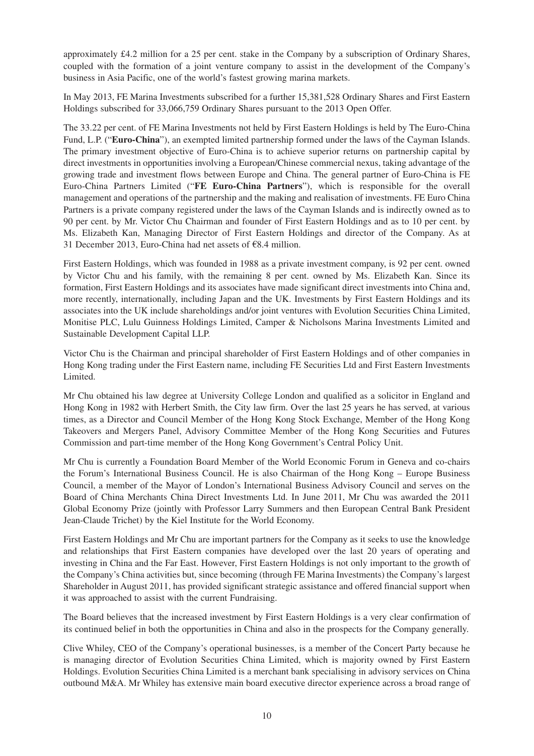approximately £4.2 million for a 25 per cent. stake in the Company by a subscription of Ordinary Shares, coupled with the formation of a joint venture company to assist in the development of the Company's business in Asia Pacific, one of the world's fastest growing marina markets.

In May 2013, FE Marina Investments subscribed for a further 15,381,528 Ordinary Shares and First Eastern Holdings subscribed for 33,066,759 Ordinary Shares pursuant to the 2013 Open Offer.

The 33.22 per cent. of FE Marina Investments not held by First Eastern Holdings is held by The Euro-China Fund, L.P. ("**Euro-China**"), an exempted limited partnership formed under the laws of the Cayman Islands. The primary investment objective of Euro-China is to achieve superior returns on partnership capital by direct investments in opportunities involving a European/Chinese commercial nexus, taking advantage of the growing trade and investment flows between Europe and China. The general partner of Euro-China is FE Euro-China Partners Limited ("**FE Euro-China Partners**"), which is responsible for the overall management and operations of the partnership and the making and realisation of investments. FE Euro China Partners is a private company registered under the laws of the Cayman Islands and is indirectly owned as to 90 per cent. by Mr. Victor Chu Chairman and founder of First Eastern Holdings and as to 10 per cent. by Ms. Elizabeth Kan, Managing Director of First Eastern Holdings and director of the Company. As at 31 December 2013, Euro-China had net assets of €8.4 million.

First Eastern Holdings, which was founded in 1988 as a private investment company, is 92 per cent. owned by Victor Chu and his family, with the remaining 8 per cent. owned by Ms. Elizabeth Kan. Since its formation, First Eastern Holdings and its associates have made significant direct investments into China and, more recently, internationally, including Japan and the UK. Investments by First Eastern Holdings and its associates into the UK include shareholdings and/or joint ventures with Evolution Securities China Limited, Monitise PLC, Lulu Guinness Holdings Limited, Camper & Nicholsons Marina Investments Limited and Sustainable Development Capital LLP.

Victor Chu is the Chairman and principal shareholder of First Eastern Holdings and of other companies in Hong Kong trading under the First Eastern name, including FE Securities Ltd and First Eastern Investments Limited.

Mr Chu obtained his law degree at University College London and qualified as a solicitor in England and Hong Kong in 1982 with Herbert Smith, the City law firm. Over the last 25 years he has served, at various times, as a Director and Council Member of the Hong Kong Stock Exchange, Member of the Hong Kong Takeovers and Mergers Panel, Advisory Committee Member of the Hong Kong Securities and Futures Commission and part-time member of the Hong Kong Government's Central Policy Unit.

Mr Chu is currently a Foundation Board Member of the World Economic Forum in Geneva and co-chairs the Forum's International Business Council. He is also Chairman of the Hong Kong – Europe Business Council, a member of the Mayor of London's International Business Advisory Council and serves on the Board of China Merchants China Direct Investments Ltd. In June 2011, Mr Chu was awarded the 2011 Global Economy Prize (jointly with Professor Larry Summers and then European Central Bank President Jean-Claude Trichet) by the Kiel Institute for the World Economy.

First Eastern Holdings and Mr Chu are important partners for the Company as it seeks to use the knowledge and relationships that First Eastern companies have developed over the last 20 years of operating and investing in China and the Far East. However, First Eastern Holdings is not only important to the growth of the Company's China activities but, since becoming (through FE Marina Investments) the Company's largest Shareholder in August 2011, has provided significant strategic assistance and offered financial support when it was approached to assist with the current Fundraising.

The Board believes that the increased investment by First Eastern Holdings is a very clear confirmation of its continued belief in both the opportunities in China and also in the prospects for the Company generally.

Clive Whiley, CEO of the Company's operational businesses, is a member of the Concert Party because he is managing director of Evolution Securities China Limited, which is majority owned by First Eastern Holdings. Evolution Securities China Limited is a merchant bank specialising in advisory services on China outbound M&A. Mr Whiley has extensive main board executive director experience across a broad range of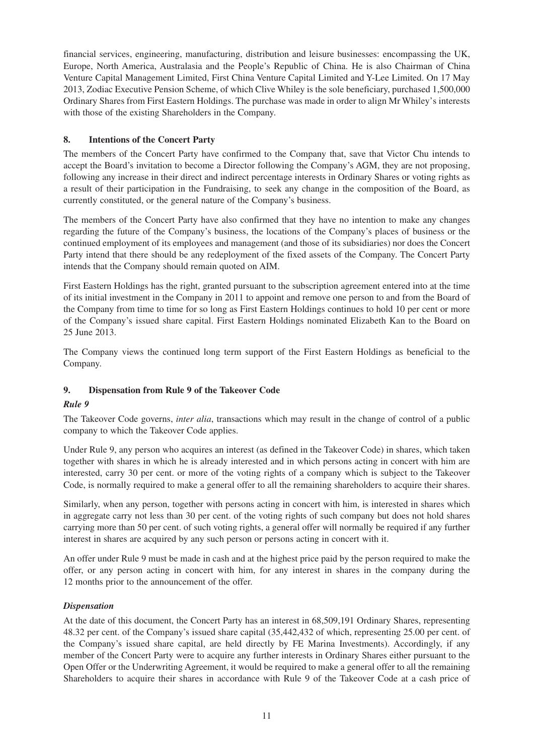financial services, engineering, manufacturing, distribution and leisure businesses: encompassing the UK, Europe, North America, Australasia and the People's Republic of China. He is also Chairman of China Venture Capital Management Limited, First China Venture Capital Limited and Y-Lee Limited. On 17 May 2013, Zodiac Executive Pension Scheme, of which Clive Whiley is the sole beneficiary, purchased 1,500,000 Ordinary Shares from First Eastern Holdings. The purchase was made in order to align Mr Whiley's interests with those of the existing Shareholders in the Company.

# **8. Intentions of the Concert Party**

The members of the Concert Party have confirmed to the Company that, save that Victor Chu intends to accept the Board's invitation to become a Director following the Company's AGM, they are not proposing, following any increase in their direct and indirect percentage interests in Ordinary Shares or voting rights as a result of their participation in the Fundraising, to seek any change in the composition of the Board, as currently constituted, or the general nature of the Company's business.

The members of the Concert Party have also confirmed that they have no intention to make any changes regarding the future of the Company's business, the locations of the Company's places of business or the continued employment of its employees and management (and those of its subsidiaries) nor does the Concert Party intend that there should be any redeployment of the fixed assets of the Company. The Concert Party intends that the Company should remain quoted on AIM.

First Eastern Holdings has the right, granted pursuant to the subscription agreement entered into at the time of its initial investment in the Company in 2011 to appoint and remove one person to and from the Board of the Company from time to time for so long as First Eastern Holdings continues to hold 10 per cent or more of the Company's issued share capital. First Eastern Holdings nominated Elizabeth Kan to the Board on 25 June 2013.

The Company views the continued long term support of the First Eastern Holdings as beneficial to the Company.

# **9. Dispensation from Rule 9 of the Takeover Code**

# *Rule 9*

The Takeover Code governs, *inter alia*, transactions which may result in the change of control of a public company to which the Takeover Code applies.

Under Rule 9, any person who acquires an interest (as defined in the Takeover Code) in shares, which taken together with shares in which he is already interested and in which persons acting in concert with him are interested, carry 30 per cent. or more of the voting rights of a company which is subject to the Takeover Code, is normally required to make a general offer to all the remaining shareholders to acquire their shares.

Similarly, when any person, together with persons acting in concert with him, is interested in shares which in aggregate carry not less than 30 per cent. of the voting rights of such company but does not hold shares carrying more than 50 per cent. of such voting rights, a general offer will normally be required if any further interest in shares are acquired by any such person or persons acting in concert with it.

An offer under Rule 9 must be made in cash and at the highest price paid by the person required to make the offer, or any person acting in concert with him, for any interest in shares in the company during the 12 months prior to the announcement of the offer.

# *Dispensation*

At the date of this document, the Concert Party has an interest in 68,509,191 Ordinary Shares, representing 48.32 per cent. of the Company's issued share capital (35,442,432 of which, representing 25.00 per cent. of the Company's issued share capital, are held directly by FE Marina Investments). Accordingly, if any member of the Concert Party were to acquire any further interests in Ordinary Shares either pursuant to the Open Offer or the Underwriting Agreement, it would be required to make a general offer to all the remaining Shareholders to acquire their shares in accordance with Rule 9 of the Takeover Code at a cash price of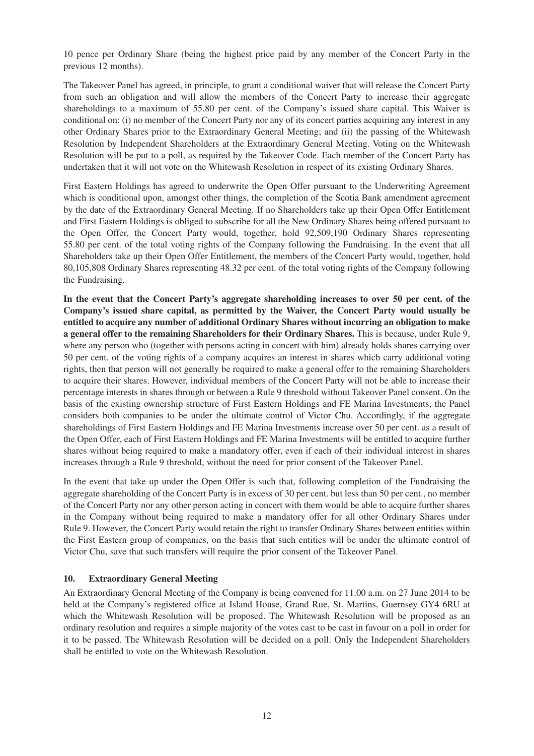10 pence per Ordinary Share (being the highest price paid by any member of the Concert Party in the previous 12 months).

The Takeover Panel has agreed, in principle, to grant a conditional waiver that will release the Concert Party from such an obligation and will allow the members of the Concert Party to increase their aggregate shareholdings to a maximum of 55.80 per cent. of the Company's issued share capital. This Waiver is conditional on: (i) no member of the Concert Party nor any of its concert parties acquiring any interest in any other Ordinary Shares prior to the Extraordinary General Meeting; and (ii) the passing of the Whitewash Resolution by Independent Shareholders at the Extraordinary General Meeting. Voting on the Whitewash Resolution will be put to a poll, as required by the Takeover Code. Each member of the Concert Party has undertaken that it will not vote on the Whitewash Resolution in respect of its existing Ordinary Shares.

First Eastern Holdings has agreed to underwrite the Open Offer pursuant to the Underwriting Agreement which is conditional upon, amongst other things, the completion of the Scotia Bank amendment agreement by the date of the Extraordinary General Meeting. If no Shareholders take up their Open Offer Entitlement and First Eastern Holdings is obliged to subscribe for all the New Ordinary Shares being offered pursuant to the Open Offer, the Concert Party would, together, hold 92,509,190 Ordinary Shares representing 55.80 per cent. of the total voting rights of the Company following the Fundraising. In the event that all Shareholders take up their Open Offer Entitlement, the members of the Concert Party would, together, hold 80,105,808 Ordinary Shares representing 48.32 per cent. of the total voting rights of the Company following the Fundraising.

**In the event that the Concert Party's aggregate shareholding increases to over 50 per cent. of the Company's issued share capital, as permitted by the Waiver, the Concert Party would usually be entitled to acquire any number of additional Ordinary Shares without incurring an obligation to make a general offer to the remaining Shareholders for their Ordinary Shares.** This is because, under Rule 9, where any person who (together with persons acting in concert with him) already holds shares carrying over 50 per cent. of the voting rights of a company acquires an interest in shares which carry additional voting rights, then that person will not generally be required to make a general offer to the remaining Shareholders to acquire their shares. However, individual members of the Concert Party will not be able to increase their percentage interests in shares through or between a Rule 9 threshold without Takeover Panel consent. On the basis of the existing ownership structure of First Eastern Holdings and FE Marina Investments, the Panel considers both companies to be under the ultimate control of Victor Chu. Accordingly, if the aggregate shareholdings of First Eastern Holdings and FE Marina Investments increase over 50 per cent. as a result of the Open Offer, each of First Eastern Holdings and FE Marina Investments will be entitled to acquire further shares without being required to make a mandatory offer, even if each of their individual interest in shares increases through a Rule 9 threshold, without the need for prior consent of the Takeover Panel.

In the event that take up under the Open Offer is such that, following completion of the Fundraising the aggregate shareholding of the Concert Party is in excess of 30 per cent. but less than 50 per cent., no member of the Concert Party nor any other person acting in concert with them would be able to acquire further shares in the Company without being required to make a mandatory offer for all other Ordinary Shares under Rule 9. However, the Concert Party would retain the right to transfer Ordinary Shares between entities within the First Eastern group of companies, on the basis that such entities will be under the ultimate control of Victor Chu, save that such transfers will require the prior consent of the Takeover Panel.

# **10. Extraordinary General Meeting**

An Extraordinary General Meeting of the Company is being convened for 11.00 a.m. on 27 June 2014 to be held at the Company's registered office at Island House, Grand Rue, St. Martins, Guernsey GY4 6RU at which the Whitewash Resolution will be proposed. The Whitewash Resolution will be proposed as an ordinary resolution and requires a simple majority of the votes cast to be cast in favour on a poll in order for it to be passed. The Whitewash Resolution will be decided on a poll. Only the Independent Shareholders shall be entitled to vote on the Whitewash Resolution.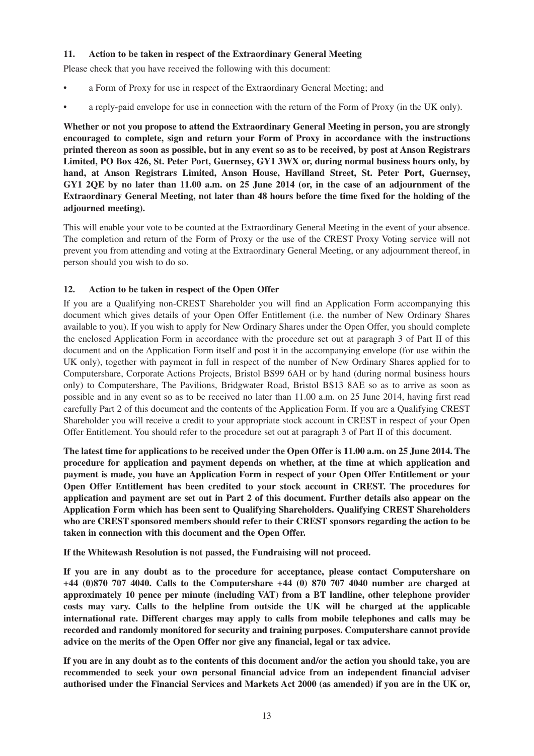# **11. Action to be taken in respect of the Extraordinary General Meeting**

Please check that you have received the following with this document:

- a Form of Proxy for use in respect of the Extraordinary General Meeting; and
- a reply-paid envelope for use in connection with the return of the Form of Proxy (in the UK only).

**Whether or not you propose to attend the Extraordinary General Meeting in person, you are strongly encouraged to complete, sign and return your Form of Proxy in accordance with the instructions printed thereon as soon as possible, but in any event so as to be received, by post at Anson Registrars Limited, PO Box 426, St. Peter Port, Guernsey, GY1 3WX or, during normal business hours only, by hand, at Anson Registrars Limited, Anson House, Havilland Street, St. Peter Port, Guernsey, GY1 2QE by no later than 11.00 a.m. on 25 June 2014 (or, in the case of an adjournment of the Extraordinary General Meeting, not later than 48 hours before the time fixed for the holding of the adjourned meeting).**

This will enable your vote to be counted at the Extraordinary General Meeting in the event of your absence. The completion and return of the Form of Proxy or the use of the CREST Proxy Voting service will not prevent you from attending and voting at the Extraordinary General Meeting, or any adjournment thereof, in person should you wish to do so.

# **12. Action to be taken in respect of the Open Offer**

If you are a Qualifying non-CREST Shareholder you will find an Application Form accompanying this document which gives details of your Open Offer Entitlement (i.e. the number of New Ordinary Shares available to you). If you wish to apply for New Ordinary Shares under the Open Offer, you should complete the enclosed Application Form in accordance with the procedure set out at paragraph 3 of Part II of this document and on the Application Form itself and post it in the accompanying envelope (for use within the UK only), together with payment in full in respect of the number of New Ordinary Shares applied for to Computershare, Corporate Actions Projects, Bristol BS99 6AH or by hand (during normal business hours only) to Computershare, The Pavilions, Bridgwater Road, Bristol BS13 8AE so as to arrive as soon as possible and in any event so as to be received no later than 11.00 a.m. on 25 June 2014, having first read carefully Part 2 of this document and the contents of the Application Form. If you are a Qualifying CREST Shareholder you will receive a credit to your appropriate stock account in CREST in respect of your Open Offer Entitlement. You should refer to the procedure set out at paragraph 3 of Part II of this document.

**The latest time for applications to be received under the Open Offer is 11.00 a.m. on 25 June 2014. The procedure for application and payment depends on whether, at the time at which application and payment is made, you have an Application Form in respect of your Open Offer Entitlement or your Open Offer Entitlement has been credited to your stock account in CREST. The procedures for application and payment are set out in Part 2 of this document. Further details also appear on the Application Form which has been sent to Qualifying Shareholders. Qualifying CREST Shareholders who are CREST sponsored members should refer to their CREST sponsors regarding the action to be taken in connection with this document and the Open Offer.**

**If the Whitewash Resolution is not passed, the Fundraising will not proceed.**

**If you are in any doubt as to the procedure for acceptance, please contact Computershare on +44 (0)870 707 4040. Calls to the Computershare +44 (0) 870 707 4040 number are charged at approximately 10 pence per minute (including VAT) from a BT landline, other telephone provider costs may vary. Calls to the helpline from outside the UK will be charged at the applicable international rate. Different charges may apply to calls from mobile telephones and calls may be recorded and randomly monitored for security and training purposes. Computershare cannot provide advice on the merits of the Open Offer nor give any financial, legal or tax advice.**

**If you are in any doubt as to the contents of this document and/or the action you should take, you are recommended to seek your own personal financial advice from an independent financial adviser authorised under the Financial Services and Markets Act 2000 (as amended) if you are in the UK or,**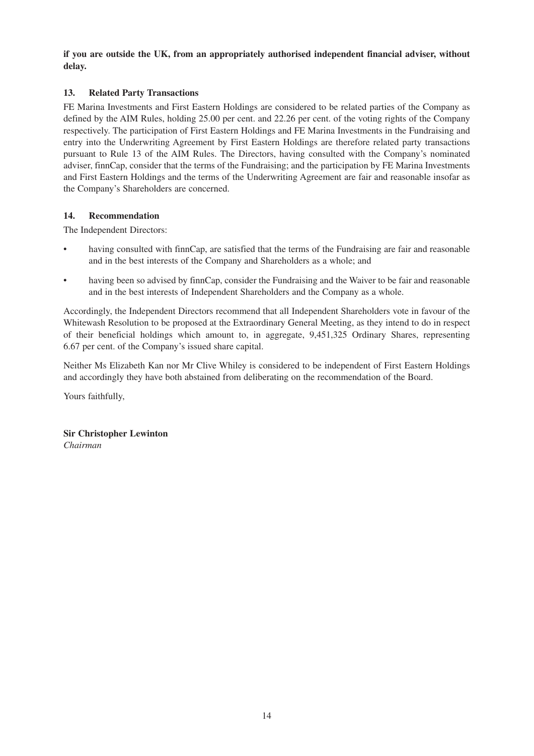**if you are outside the UK, from an appropriately authorised independent financial adviser, without delay.**

# **13. Related Party Transactions**

FE Marina Investments and First Eastern Holdings are considered to be related parties of the Company as defined by the AIM Rules, holding 25.00 per cent. and 22.26 per cent. of the voting rights of the Company respectively. The participation of First Eastern Holdings and FE Marina Investments in the Fundraising and entry into the Underwriting Agreement by First Eastern Holdings are therefore related party transactions pursuant to Rule 13 of the AIM Rules. The Directors, having consulted with the Company's nominated adviser, finnCap, consider that the terms of the Fundraising; and the participation by FE Marina Investments and First Eastern Holdings and the terms of the Underwriting Agreement are fair and reasonable insofar as the Company's Shareholders are concerned.

# **14. Recommendation**

The Independent Directors:

- having consulted with finnCap, are satisfied that the terms of the Fundraising are fair and reasonable and in the best interests of the Company and Shareholders as a whole; and
- having been so advised by finnCap, consider the Fundraising and the Waiver to be fair and reasonable and in the best interests of Independent Shareholders and the Company as a whole.

Accordingly, the Independent Directors recommend that all Independent Shareholders vote in favour of the Whitewash Resolution to be proposed at the Extraordinary General Meeting, as they intend to do in respect of their beneficial holdings which amount to, in aggregate, 9,451,325 Ordinary Shares, representing 6.67 per cent. of the Company's issued share capital.

Neither Ms Elizabeth Kan nor Mr Clive Whiley is considered to be independent of First Eastern Holdings and accordingly they have both abstained from deliberating on the recommendation of the Board.

Yours faithfully,

**Sir Christopher Lewinton** *Chairman*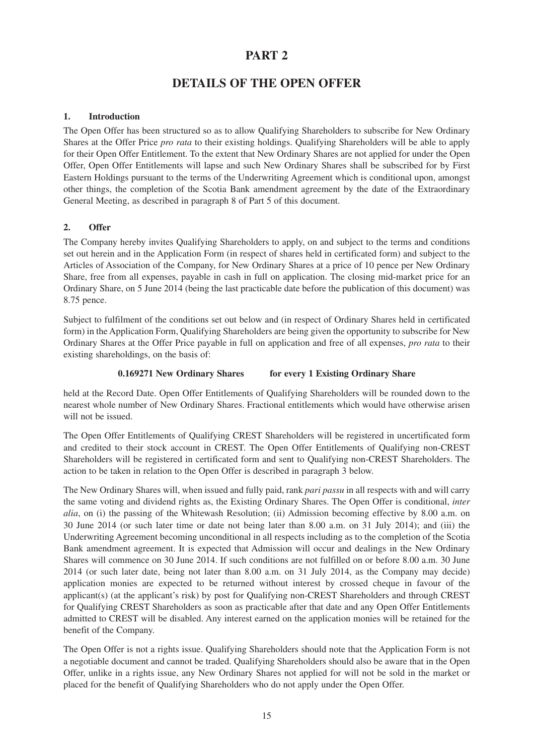# **PART 2**

# **DETAILS OF THE OPEN OFFER**

# **1. Introduction**

The Open Offer has been structured so as to allow Qualifying Shareholders to subscribe for New Ordinary Shares at the Offer Price *pro rata* to their existing holdings. Qualifying Shareholders will be able to apply for their Open Offer Entitlement. To the extent that New Ordinary Shares are not applied for under the Open Offer, Open Offer Entitlements will lapse and such New Ordinary Shares shall be subscribed for by First Eastern Holdings pursuant to the terms of the Underwriting Agreement which is conditional upon, amongst other things, the completion of the Scotia Bank amendment agreement by the date of the Extraordinary General Meeting, as described in paragraph 8 of Part 5 of this document.

# **2. Offer**

The Company hereby invites Qualifying Shareholders to apply, on and subject to the terms and conditions set out herein and in the Application Form (in respect of shares held in certificated form) and subject to the Articles of Association of the Company, for New Ordinary Shares at a price of 10 pence per New Ordinary Share, free from all expenses, payable in cash in full on application. The closing mid-market price for an Ordinary Share, on 5 June 2014 (being the last practicable date before the publication of this document) was 8.75 pence.

Subject to fulfilment of the conditions set out below and (in respect of Ordinary Shares held in certificated form) in the Application Form, Qualifying Shareholders are being given the opportunity to subscribe for New Ordinary Shares at the Offer Price payable in full on application and free of all expenses, *pro rata* to their existing shareholdings, on the basis of:

# **0.169271 New Ordinary Shares for every 1 Existing Ordinary Share**

held at the Record Date. Open Offer Entitlements of Qualifying Shareholders will be rounded down to the nearest whole number of New Ordinary Shares. Fractional entitlements which would have otherwise arisen will not be issued.

The Open Offer Entitlements of Qualifying CREST Shareholders will be registered in uncertificated form and credited to their stock account in CREST. The Open Offer Entitlements of Qualifying non-CREST Shareholders will be registered in certificated form and sent to Qualifying non-CREST Shareholders. The action to be taken in relation to the Open Offer is described in paragraph 3 below.

The New Ordinary Shares will, when issued and fully paid, rank *pari passu* in all respects with and will carry the same voting and dividend rights as, the Existing Ordinary Shares. The Open Offer is conditional, *inter alia*, on (i) the passing of the Whitewash Resolution; (ii) Admission becoming effective by 8.00 a.m. on 30 June 2014 (or such later time or date not being later than 8.00 a.m. on 31 July 2014); and (iii) the Underwriting Agreement becoming unconditional in all respects including as to the completion of the Scotia Bank amendment agreement. It is expected that Admission will occur and dealings in the New Ordinary Shares will commence on 30 June 2014. If such conditions are not fulfilled on or before 8.00 a.m. 30 June 2014 (or such later date, being not later than 8.00 a.m. on 31 July 2014, as the Company may decide) application monies are expected to be returned without interest by crossed cheque in favour of the applicant(s) (at the applicant's risk) by post for Qualifying non-CREST Shareholders and through CREST for Qualifying CREST Shareholders as soon as practicable after that date and any Open Offer Entitlements admitted to CREST will be disabled. Any interest earned on the application monies will be retained for the benefit of the Company.

The Open Offer is not a rights issue. Qualifying Shareholders should note that the Application Form is not a negotiable document and cannot be traded. Qualifying Shareholders should also be aware that in the Open Offer, unlike in a rights issue, any New Ordinary Shares not applied for will not be sold in the market or placed for the benefit of Qualifying Shareholders who do not apply under the Open Offer.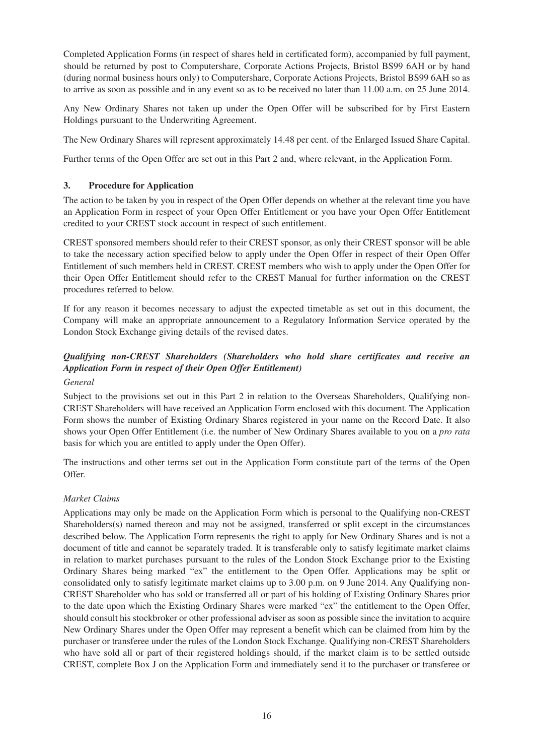Completed Application Forms (in respect of shares held in certificated form), accompanied by full payment, should be returned by post to Computershare, Corporate Actions Projects, Bristol BS99 6AH or by hand (during normal business hours only) to Computershare, Corporate Actions Projects, Bristol BS99 6AH so as to arrive as soon as possible and in any event so as to be received no later than 11.00 a.m. on 25 June 2014.

Any New Ordinary Shares not taken up under the Open Offer will be subscribed for by First Eastern Holdings pursuant to the Underwriting Agreement.

The New Ordinary Shares will represent approximately 14.48 per cent. of the Enlarged Issued Share Capital.

Further terms of the Open Offer are set out in this Part 2 and, where relevant, in the Application Form.

# **3. Procedure for Application**

The action to be taken by you in respect of the Open Offer depends on whether at the relevant time you have an Application Form in respect of your Open Offer Entitlement or you have your Open Offer Entitlement credited to your CREST stock account in respect of such entitlement.

CREST sponsored members should refer to their CREST sponsor, as only their CREST sponsor will be able to take the necessary action specified below to apply under the Open Offer in respect of their Open Offer Entitlement of such members held in CREST. CREST members who wish to apply under the Open Offer for their Open Offer Entitlement should refer to the CREST Manual for further information on the CREST procedures referred to below.

If for any reason it becomes necessary to adjust the expected timetable as set out in this document, the Company will make an appropriate announcement to a Regulatory Information Service operated by the London Stock Exchange giving details of the revised dates.

# *Qualifying non-CREST Shareholders (Shareholders who hold share certificates and receive an Application Form in respect of their Open Offer Entitlement)*

# *General*

Subject to the provisions set out in this Part 2 in relation to the Overseas Shareholders, Qualifying non-CREST Shareholders will have received an Application Form enclosed with this document. The Application Form shows the number of Existing Ordinary Shares registered in your name on the Record Date. It also shows your Open Offer Entitlement (i.e. the number of New Ordinary Shares available to you on a *pro rata* basis for which you are entitled to apply under the Open Offer).

The instructions and other terms set out in the Application Form constitute part of the terms of the Open Offer.

# *Market Claims*

Applications may only be made on the Application Form which is personal to the Qualifying non-CREST Shareholders(s) named thereon and may not be assigned, transferred or split except in the circumstances described below. The Application Form represents the right to apply for New Ordinary Shares and is not a document of title and cannot be separately traded. It is transferable only to satisfy legitimate market claims in relation to market purchases pursuant to the rules of the London Stock Exchange prior to the Existing Ordinary Shares being marked "ex" the entitlement to the Open Offer. Applications may be split or consolidated only to satisfy legitimate market claims up to 3.00 p.m. on 9 June 2014. Any Qualifying non-CREST Shareholder who has sold or transferred all or part of his holding of Existing Ordinary Shares prior to the date upon which the Existing Ordinary Shares were marked "ex" the entitlement to the Open Offer, should consult his stockbroker or other professional adviser as soon as possible since the invitation to acquire New Ordinary Shares under the Open Offer may represent a benefit which can be claimed from him by the purchaser or transferee under the rules of the London Stock Exchange. Qualifying non-CREST Shareholders who have sold all or part of their registered holdings should, if the market claim is to be settled outside CREST, complete Box J on the Application Form and immediately send it to the purchaser or transferee or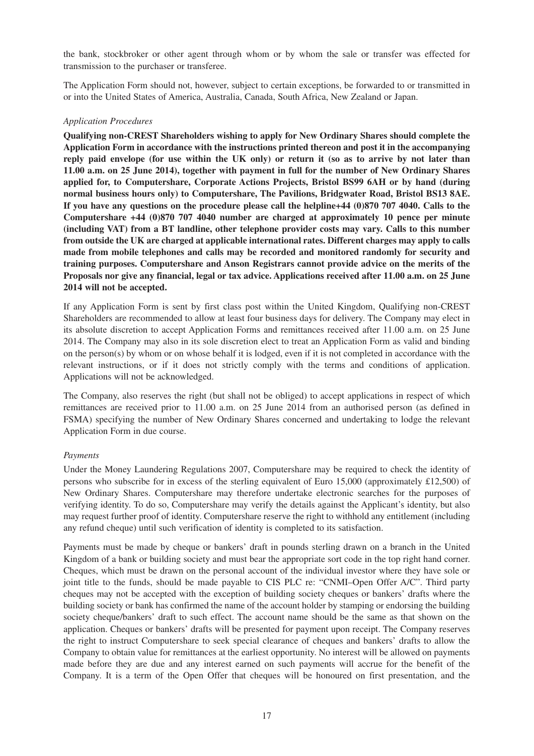the bank, stockbroker or other agent through whom or by whom the sale or transfer was effected for transmission to the purchaser or transferee.

The Application Form should not, however, subject to certain exceptions, be forwarded to or transmitted in or into the United States of America, Australia, Canada, South Africa, New Zealand or Japan.

#### *Application Procedures*

**Qualifying non-CREST Shareholders wishing to apply for New Ordinary Shares should complete the Application Form in accordance with the instructions printed thereon and post it in the accompanying reply paid envelope (for use within the UK only) or return it (so as to arrive by not later than 11.00 a.m. on 25 June 2014), together with payment in full for the number of New Ordinary Shares applied for, to Computershare, Corporate Actions Projects, Bristol BS99 6AH or by hand (during normal business hours only) to Computershare, The Pavilions, Bridgwater Road, Bristol BS13 8AE. If you have any questions on the procedure please call the helpline+44 (0)870 707 4040. Calls to the Computershare +44 (0)870 707 4040 number are charged at approximately 10 pence per minute (including VAT) from a BT landline, other telephone provider costs may vary. Calls to this number from outside the UK are charged at applicable international rates. Different charges may apply to calls made from mobile telephones and calls may be recorded and monitored randomly for security and training purposes. Computershare and Anson Registrars cannot provide advice on the merits of the Proposals nor give any financial, legal or tax advice. Applications received after 11.00 a.m. on 25 June 2014 will not be accepted.**

If any Application Form is sent by first class post within the United Kingdom, Qualifying non-CREST Shareholders are recommended to allow at least four business days for delivery. The Company may elect in its absolute discretion to accept Application Forms and remittances received after 11.00 a.m. on 25 June 2014. The Company may also in its sole discretion elect to treat an Application Form as valid and binding on the person(s) by whom or on whose behalf it is lodged, even if it is not completed in accordance with the relevant instructions, or if it does not strictly comply with the terms and conditions of application. Applications will not be acknowledged.

The Company, also reserves the right (but shall not be obliged) to accept applications in respect of which remittances are received prior to 11.00 a.m. on 25 June 2014 from an authorised person (as defined in FSMA) specifying the number of New Ordinary Shares concerned and undertaking to lodge the relevant Application Form in due course.

#### *Payments*

Under the Money Laundering Regulations 2007, Computershare may be required to check the identity of persons who subscribe for in excess of the sterling equivalent of Euro 15,000 (approximately £12,500) of New Ordinary Shares. Computershare may therefore undertake electronic searches for the purposes of verifying identity. To do so, Computershare may verify the details against the Applicant's identity, but also may request further proof of identity. Computershare reserve the right to withhold any entitlement (including any refund cheque) until such verification of identity is completed to its satisfaction.

Payments must be made by cheque or bankers' draft in pounds sterling drawn on a branch in the United Kingdom of a bank or building society and must bear the appropriate sort code in the top right hand corner. Cheques, which must be drawn on the personal account of the individual investor where they have sole or joint title to the funds, should be made payable to CIS PLC re: "CNMI–Open Offer A/C". Third party cheques may not be accepted with the exception of building society cheques or bankers' drafts where the building society or bank has confirmed the name of the account holder by stamping or endorsing the building society cheque/bankers' draft to such effect. The account name should be the same as that shown on the application. Cheques or bankers' drafts will be presented for payment upon receipt. The Company reserves the right to instruct Computershare to seek special clearance of cheques and bankers' drafts to allow the Company to obtain value for remittances at the earliest opportunity. No interest will be allowed on payments made before they are due and any interest earned on such payments will accrue for the benefit of the Company. It is a term of the Open Offer that cheques will be honoured on first presentation, and the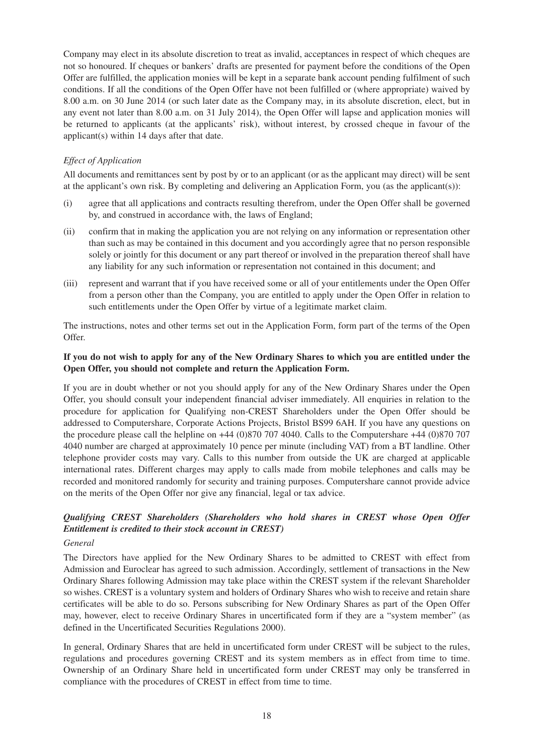Company may elect in its absolute discretion to treat as invalid, acceptances in respect of which cheques are not so honoured. If cheques or bankers' drafts are presented for payment before the conditions of the Open Offer are fulfilled, the application monies will be kept in a separate bank account pending fulfilment of such conditions. If all the conditions of the Open Offer have not been fulfilled or (where appropriate) waived by 8.00 a.m. on 30 June 2014 (or such later date as the Company may, in its absolute discretion, elect, but in any event not later than 8.00 a.m. on 31 July 2014), the Open Offer will lapse and application monies will be returned to applicants (at the applicants' risk), without interest, by crossed cheque in favour of the applicant(s) within 14 days after that date.

# *Effect of Application*

All documents and remittances sent by post by or to an applicant (or as the applicant may direct) will be sent at the applicant's own risk. By completing and delivering an Application Form, you (as the applicant(s)):

- (i) agree that all applications and contracts resulting therefrom, under the Open Offer shall be governed by, and construed in accordance with, the laws of England;
- (ii) confirm that in making the application you are not relying on any information or representation other than such as may be contained in this document and you accordingly agree that no person responsible solely or jointly for this document or any part thereof or involved in the preparation thereof shall have any liability for any such information or representation not contained in this document; and
- (iii) represent and warrant that if you have received some or all of your entitlements under the Open Offer from a person other than the Company, you are entitled to apply under the Open Offer in relation to such entitlements under the Open Offer by virtue of a legitimate market claim.

The instructions, notes and other terms set out in the Application Form, form part of the terms of the Open Offer.

# **If you do not wish to apply for any of the New Ordinary Shares to which you are entitled under the Open Offer, you should not complete and return the Application Form.**

If you are in doubt whether or not you should apply for any of the New Ordinary Shares under the Open Offer, you should consult your independent financial adviser immediately. All enquiries in relation to the procedure for application for Qualifying non-CREST Shareholders under the Open Offer should be addressed to Computershare, Corporate Actions Projects, Bristol BS99 6AH. If you have any questions on the procedure please call the helpline on +44 (0)870 707 4040. Calls to the Computershare +44 (0)870 707 4040 number are charged at approximately 10 pence per minute (including VAT) from a BT landline. Other telephone provider costs may vary. Calls to this number from outside the UK are charged at applicable international rates. Different charges may apply to calls made from mobile telephones and calls may be recorded and monitored randomly for security and training purposes. Computershare cannot provide advice on the merits of the Open Offer nor give any financial, legal or tax advice.

# *Qualifying CREST Shareholders (Shareholders who hold shares in CREST whose Open Offer Entitlement is credited to their stock account in CREST)*

#### *General*

The Directors have applied for the New Ordinary Shares to be admitted to CREST with effect from Admission and Euroclear has agreed to such admission. Accordingly, settlement of transactions in the New Ordinary Shares following Admission may take place within the CREST system if the relevant Shareholder so wishes. CREST is a voluntary system and holders of Ordinary Shares who wish to receive and retain share certificates will be able to do so. Persons subscribing for New Ordinary Shares as part of the Open Offer may, however, elect to receive Ordinary Shares in uncertificated form if they are a "system member" (as defined in the Uncertificated Securities Regulations 2000).

In general, Ordinary Shares that are held in uncertificated form under CREST will be subject to the rules, regulations and procedures governing CREST and its system members as in effect from time to time. Ownership of an Ordinary Share held in uncertificated form under CREST may only be transferred in compliance with the procedures of CREST in effect from time to time.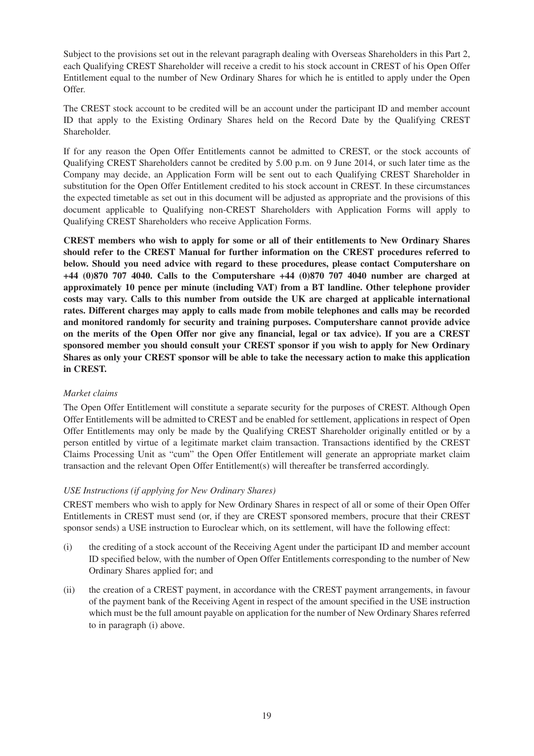Subject to the provisions set out in the relevant paragraph dealing with Overseas Shareholders in this Part 2, each Qualifying CREST Shareholder will receive a credit to his stock account in CREST of his Open Offer Entitlement equal to the number of New Ordinary Shares for which he is entitled to apply under the Open Offer.

The CREST stock account to be credited will be an account under the participant ID and member account ID that apply to the Existing Ordinary Shares held on the Record Date by the Qualifying CREST Shareholder.

If for any reason the Open Offer Entitlements cannot be admitted to CREST, or the stock accounts of Qualifying CREST Shareholders cannot be credited by 5.00 p.m. on 9 June 2014, or such later time as the Company may decide, an Application Form will be sent out to each Qualifying CREST Shareholder in substitution for the Open Offer Entitlement credited to his stock account in CREST. In these circumstances the expected timetable as set out in this document will be adjusted as appropriate and the provisions of this document applicable to Qualifying non-CREST Shareholders with Application Forms will apply to Qualifying CREST Shareholders who receive Application Forms.

**CREST members who wish to apply for some or all of their entitlements to New Ordinary Shares should refer to the CREST Manual for further information on the CREST procedures referred to below. Should you need advice with regard to these procedures, please contact Computershare on +44 (0)870 707 4040. Calls to the Computershare +44 (0)870 707 4040 number are charged at approximately 10 pence per minute (including VAT) from a BT landline. Other telephone provider costs may vary. Calls to this number from outside the UK are charged at applicable international rates. Different charges may apply to calls made from mobile telephones and calls may be recorded and monitored randomly for security and training purposes. Computershare cannot provide advice on the merits of the Open Offer nor give any financial, legal or tax advice). If you are a CREST sponsored member you should consult your CREST sponsor if you wish to apply for New Ordinary Shares as only your CREST sponsor will be able to take the necessary action to make this application in CREST.**

# *Market claims*

The Open Offer Entitlement will constitute a separate security for the purposes of CREST. Although Open Offer Entitlements will be admitted to CREST and be enabled for settlement, applications in respect of Open Offer Entitlements may only be made by the Qualifying CREST Shareholder originally entitled or by a person entitled by virtue of a legitimate market claim transaction. Transactions identified by the CREST Claims Processing Unit as "cum" the Open Offer Entitlement will generate an appropriate market claim transaction and the relevant Open Offer Entitlement(s) will thereafter be transferred accordingly.

# *USE Instructions (if applying for New Ordinary Shares)*

CREST members who wish to apply for New Ordinary Shares in respect of all or some of their Open Offer Entitlements in CREST must send (or, if they are CREST sponsored members, procure that their CREST sponsor sends) a USE instruction to Euroclear which, on its settlement, will have the following effect:

- (i) the crediting of a stock account of the Receiving Agent under the participant ID and member account ID specified below, with the number of Open Offer Entitlements corresponding to the number of New Ordinary Shares applied for; and
- (ii) the creation of a CREST payment, in accordance with the CREST payment arrangements, in favour of the payment bank of the Receiving Agent in respect of the amount specified in the USE instruction which must be the full amount payable on application for the number of New Ordinary Shares referred to in paragraph (i) above.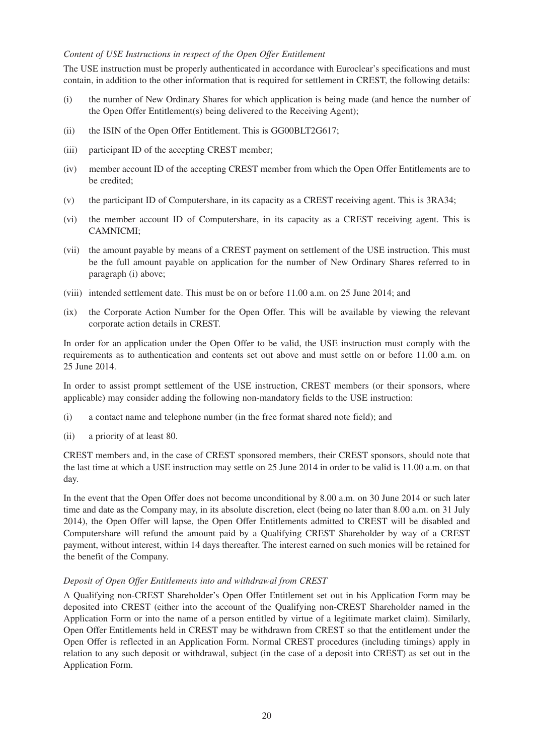#### *Content of USE Instructions in respect of the Open Offer Entitlement*

The USE instruction must be properly authenticated in accordance with Euroclear's specifications and must contain, in addition to the other information that is required for settlement in CREST, the following details:

- (i) the number of New Ordinary Shares for which application is being made (and hence the number of the Open Offer Entitlement(s) being delivered to the Receiving Agent);
- (ii) the ISIN of the Open Offer Entitlement. This is GG00BLT2G617;
- (iii) participant ID of the accepting CREST member;
- (iv) member account ID of the accepting CREST member from which the Open Offer Entitlements are to be credited;
- (v) the participant ID of Computershare, in its capacity as a CREST receiving agent. This is 3RA34;
- (vi) the member account ID of Computershare, in its capacity as a CREST receiving agent. This is CAMNICMI;
- (vii) the amount payable by means of a CREST payment on settlement of the USE instruction. This must be the full amount payable on application for the number of New Ordinary Shares referred to in paragraph (i) above;
- (viii) intended settlement date. This must be on or before 11.00 a.m. on 25 June 2014; and
- (ix) the Corporate Action Number for the Open Offer. This will be available by viewing the relevant corporate action details in CREST.

In order for an application under the Open Offer to be valid, the USE instruction must comply with the requirements as to authentication and contents set out above and must settle on or before 11.00 a.m. on 25 June 2014.

In order to assist prompt settlement of the USE instruction, CREST members (or their sponsors, where applicable) may consider adding the following non-mandatory fields to the USE instruction:

- (i) a contact name and telephone number (in the free format shared note field); and
- (ii) a priority of at least 80.

CREST members and, in the case of CREST sponsored members, their CREST sponsors, should note that the last time at which a USE instruction may settle on 25 June 2014 in order to be valid is 11.00 a.m. on that day.

In the event that the Open Offer does not become unconditional by 8.00 a.m. on 30 June 2014 or such later time and date as the Company may, in its absolute discretion, elect (being no later than 8.00 a.m. on 31 July 2014), the Open Offer will lapse, the Open Offer Entitlements admitted to CREST will be disabled and Computershare will refund the amount paid by a Qualifying CREST Shareholder by way of a CREST payment, without interest, within 14 days thereafter. The interest earned on such monies will be retained for the benefit of the Company.

#### *Deposit of Open Offer Entitlements into and withdrawal from CREST*

A Qualifying non-CREST Shareholder's Open Offer Entitlement set out in his Application Form may be deposited into CREST (either into the account of the Qualifying non-CREST Shareholder named in the Application Form or into the name of a person entitled by virtue of a legitimate market claim). Similarly, Open Offer Entitlements held in CREST may be withdrawn from CREST so that the entitlement under the Open Offer is reflected in an Application Form. Normal CREST procedures (including timings) apply in relation to any such deposit or withdrawal, subject (in the case of a deposit into CREST) as set out in the Application Form.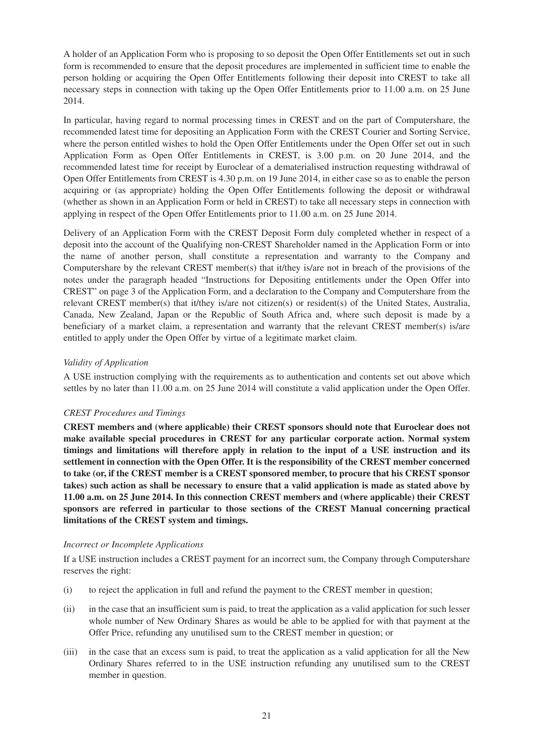A holder of an Application Form who is proposing to so deposit the Open Offer Entitlements set out in such form is recommended to ensure that the deposit procedures are implemented in sufficient time to enable the person holding or acquiring the Open Offer Entitlements following their deposit into CREST to take all necessary steps in connection with taking up the Open Offer Entitlements prior to 11.00 a.m. on 25 June 2014.

In particular, having regard to normal processing times in CREST and on the part of Computershare, the recommended latest time for depositing an Application Form with the CREST Courier and Sorting Service, where the person entitled wishes to hold the Open Offer Entitlements under the Open Offer set out in such Application Form as Open Offer Entitlements in CREST, is 3.00 p.m. on 20 June 2014, and the recommended latest time for receipt by Euroclear of a dematerialised instruction requesting withdrawal of Open Offer Entitlements from CREST is 4.30 p.m. on 19 June 2014, in either case so as to enable the person acquiring or (as appropriate) holding the Open Offer Entitlements following the deposit or withdrawal (whether as shown in an Application Form or held in CREST) to take all necessary steps in connection with applying in respect of the Open Offer Entitlements prior to 11.00 a.m. on 25 June 2014.

Delivery of an Application Form with the CREST Deposit Form duly completed whether in respect of a deposit into the account of the Qualifying non-CREST Shareholder named in the Application Form or into the name of another person, shall constitute a representation and warranty to the Company and Computershare by the relevant CREST member(s) that it/they is/are not in breach of the provisions of the notes under the paragraph headed "Instructions for Depositing entitlements under the Open Offer into CREST" on page 3 of the Application Form, and a declaration to the Company and Computershare from the relevant CREST member(s) that it/they is/are not citizen(s) or resident(s) of the United States, Australia, Canada, New Zealand, Japan or the Republic of South Africa and, where such deposit is made by a beneficiary of a market claim, a representation and warranty that the relevant CREST member(s) is/are entitled to apply under the Open Offer by virtue of a legitimate market claim.

# *Validity of Application*

A USE instruction complying with the requirements as to authentication and contents set out above which settles by no later than 11.00 a.m. on 25 June 2014 will constitute a valid application under the Open Offer.

# *CREST Procedures and Timings*

**CREST members and (where applicable) their CREST sponsors should note that Euroclear does not make available special procedures in CREST for any particular corporate action. Normal system timings and limitations will therefore apply in relation to the input of a USE instruction and its settlement in connection with the Open Offer. It is the responsibility of the CREST member concerned to take (or, if the CREST member is a CREST sponsored member, to procure that his CREST sponsor takes) such action as shall be necessary to ensure that a valid application is made as stated above by 11.00 a.m. on 25 June 2014. In this connection CREST members and (where applicable) their CREST sponsors are referred in particular to those sections of the CREST Manual concerning practical limitations of the CREST system and timings.**

# *Incorrect or Incomplete Applications*

If a USE instruction includes a CREST payment for an incorrect sum, the Company through Computershare reserves the right:

- (i) to reject the application in full and refund the payment to the CREST member in question;
- (ii) in the case that an insufficient sum is paid, to treat the application as a valid application for such lesser whole number of New Ordinary Shares as would be able to be applied for with that payment at the Offer Price, refunding any unutilised sum to the CREST member in question; or
- (iii) in the case that an excess sum is paid, to treat the application as a valid application for all the New Ordinary Shares referred to in the USE instruction refunding any unutilised sum to the CREST member in question.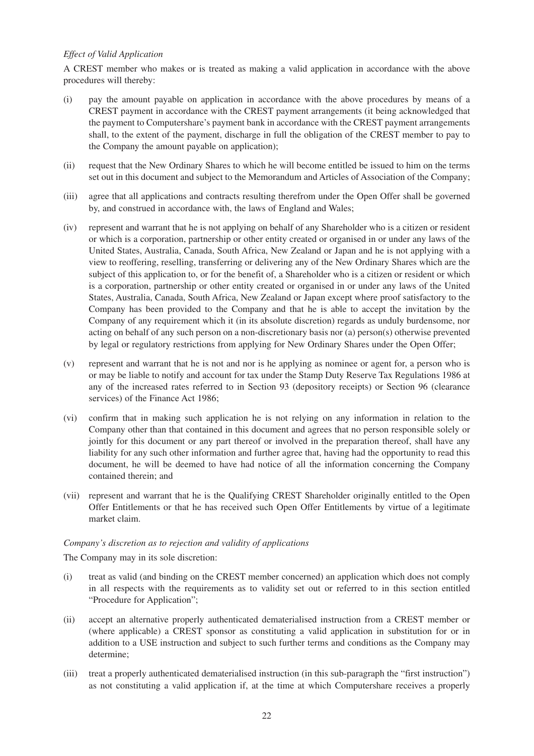# *Effect of Valid Application*

A CREST member who makes or is treated as making a valid application in accordance with the above procedures will thereby:

- (i) pay the amount payable on application in accordance with the above procedures by means of a CREST payment in accordance with the CREST payment arrangements (it being acknowledged that the payment to Computershare's payment bank in accordance with the CREST payment arrangements shall, to the extent of the payment, discharge in full the obligation of the CREST member to pay to the Company the amount payable on application);
- (ii) request that the New Ordinary Shares to which he will become entitled be issued to him on the terms set out in this document and subject to the Memorandum and Articles of Association of the Company;
- (iii) agree that all applications and contracts resulting therefrom under the Open Offer shall be governed by, and construed in accordance with, the laws of England and Wales;
- (iv) represent and warrant that he is not applying on behalf of any Shareholder who is a citizen or resident or which is a corporation, partnership or other entity created or organised in or under any laws of the United States, Australia, Canada, South Africa, New Zealand or Japan and he is not applying with a view to reoffering, reselling, transferring or delivering any of the New Ordinary Shares which are the subject of this application to, or for the benefit of, a Shareholder who is a citizen or resident or which is a corporation, partnership or other entity created or organised in or under any laws of the United States, Australia, Canada, South Africa, New Zealand or Japan except where proof satisfactory to the Company has been provided to the Company and that he is able to accept the invitation by the Company of any requirement which it (in its absolute discretion) regards as unduly burdensome, nor acting on behalf of any such person on a non-discretionary basis nor (a) person(s) otherwise prevented by legal or regulatory restrictions from applying for New Ordinary Shares under the Open Offer;
- (v) represent and warrant that he is not and nor is he applying as nominee or agent for, a person who is or may be liable to notify and account for tax under the Stamp Duty Reserve Tax Regulations 1986 at any of the increased rates referred to in Section 93 (depository receipts) or Section 96 (clearance services) of the Finance Act 1986;
- (vi) confirm that in making such application he is not relying on any information in relation to the Company other than that contained in this document and agrees that no person responsible solely or jointly for this document or any part thereof or involved in the preparation thereof, shall have any liability for any such other information and further agree that, having had the opportunity to read this document, he will be deemed to have had notice of all the information concerning the Company contained therein; and
- (vii) represent and warrant that he is the Qualifying CREST Shareholder originally entitled to the Open Offer Entitlements or that he has received such Open Offer Entitlements by virtue of a legitimate market claim.

#### *Company's discretion as to rejection and validity of applications*

The Company may in its sole discretion:

- (i) treat as valid (and binding on the CREST member concerned) an application which does not comply in all respects with the requirements as to validity set out or referred to in this section entitled "Procedure for Application";
- (ii) accept an alternative properly authenticated dematerialised instruction from a CREST member or (where applicable) a CREST sponsor as constituting a valid application in substitution for or in addition to a USE instruction and subject to such further terms and conditions as the Company may determine;
- (iii) treat a properly authenticated dematerialised instruction (in this sub-paragraph the "first instruction") as not constituting a valid application if, at the time at which Computershare receives a properly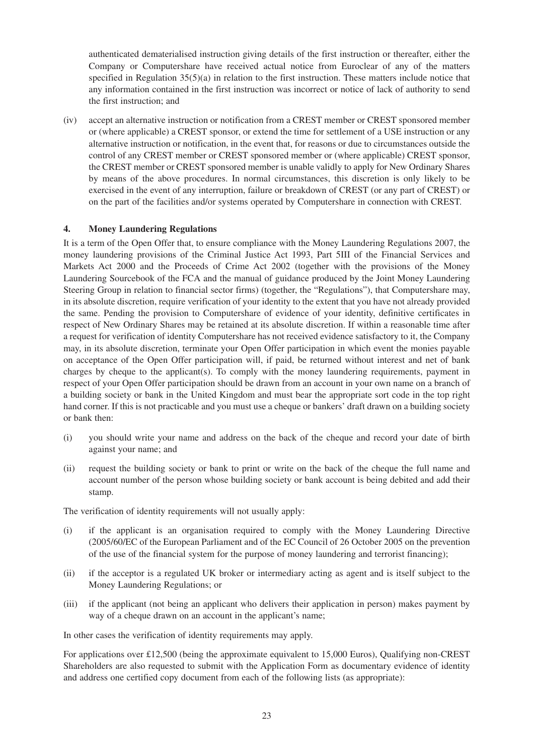authenticated dematerialised instruction giving details of the first instruction or thereafter, either the Company or Computershare have received actual notice from Euroclear of any of the matters specified in Regulation  $35(5)(a)$  in relation to the first instruction. These matters include notice that any information contained in the first instruction was incorrect or notice of lack of authority to send the first instruction; and

(iv) accept an alternative instruction or notification from a CREST member or CREST sponsored member or (where applicable) a CREST sponsor, or extend the time for settlement of a USE instruction or any alternative instruction or notification, in the event that, for reasons or due to circumstances outside the control of any CREST member or CREST sponsored member or (where applicable) CREST sponsor, the CREST member or CREST sponsored member is unable validly to apply for New Ordinary Shares by means of the above procedures. In normal circumstances, this discretion is only likely to be exercised in the event of any interruption, failure or breakdown of CREST (or any part of CREST) or on the part of the facilities and/or systems operated by Computershare in connection with CREST.

# **4. Money Laundering Regulations**

It is a term of the Open Offer that, to ensure compliance with the Money Laundering Regulations 2007, the money laundering provisions of the Criminal Justice Act 1993, Part 5III of the Financial Services and Markets Act 2000 and the Proceeds of Crime Act 2002 (together with the provisions of the Money Laundering Sourcebook of the FCA and the manual of guidance produced by the Joint Money Laundering Steering Group in relation to financial sector firms) (together, the "Regulations"), that Computershare may, in its absolute discretion, require verification of your identity to the extent that you have not already provided the same. Pending the provision to Computershare of evidence of your identity, definitive certificates in respect of New Ordinary Shares may be retained at its absolute discretion. If within a reasonable time after a request for verification of identity Computershare has not received evidence satisfactory to it, the Company may, in its absolute discretion, terminate your Open Offer participation in which event the monies payable on acceptance of the Open Offer participation will, if paid, be returned without interest and net of bank charges by cheque to the applicant(s). To comply with the money laundering requirements, payment in respect of your Open Offer participation should be drawn from an account in your own name on a branch of a building society or bank in the United Kingdom and must bear the appropriate sort code in the top right hand corner. If this is not practicable and you must use a cheque or bankers' draft drawn on a building society or bank then:

- (i) you should write your name and address on the back of the cheque and record your date of birth against your name; and
- (ii) request the building society or bank to print or write on the back of the cheque the full name and account number of the person whose building society or bank account is being debited and add their stamp.

The verification of identity requirements will not usually apply:

- (i) if the applicant is an organisation required to comply with the Money Laundering Directive (2005/60/EC of the European Parliament and of the EC Council of 26 October 2005 on the prevention of the use of the financial system for the purpose of money laundering and terrorist financing);
- (ii) if the acceptor is a regulated UK broker or intermediary acting as agent and is itself subject to the Money Laundering Regulations; or
- (iii) if the applicant (not being an applicant who delivers their application in person) makes payment by way of a cheque drawn on an account in the applicant's name:

In other cases the verification of identity requirements may apply.

For applications over £12,500 (being the approximate equivalent to 15,000 Euros), Qualifying non-CREST Shareholders are also requested to submit with the Application Form as documentary evidence of identity and address one certified copy document from each of the following lists (as appropriate):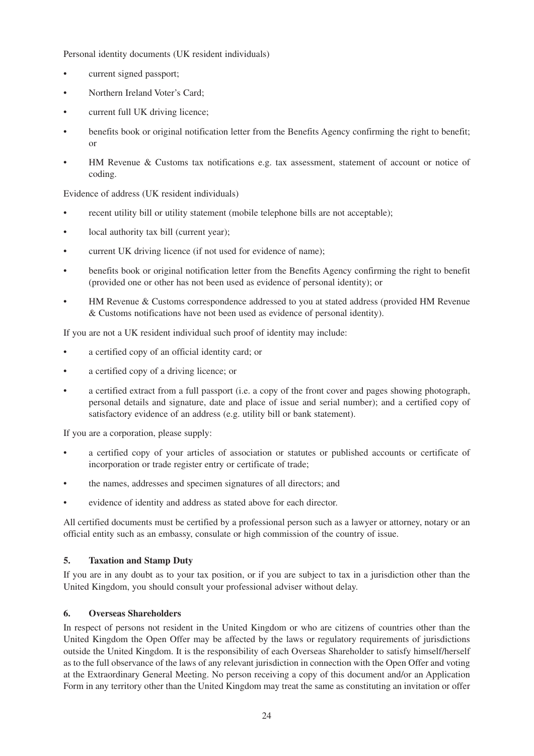Personal identity documents (UK resident individuals)

- current signed passport;
- Northern Ireland Voter's Card;
- current full UK driving licence;
- benefits book or original notification letter from the Benefits Agency confirming the right to benefit; or
- HM Revenue & Customs tax notifications e.g. tax assessment, statement of account or notice of coding.

Evidence of address (UK resident individuals)

- recent utility bill or utility statement (mobile telephone bills are not acceptable);
- local authority tax bill (current year):
- current UK driving licence (if not used for evidence of name);
- benefits book or original notification letter from the Benefits Agency confirming the right to benefit (provided one or other has not been used as evidence of personal identity); or
- HM Revenue & Customs correspondence addressed to you at stated address (provided HM Revenue & Customs notifications have not been used as evidence of personal identity).

If you are not a UK resident individual such proof of identity may include:

- a certified copy of an official identity card; or
- a certified copy of a driving licence; or
- a certified extract from a full passport (i.e. a copy of the front cover and pages showing photograph, personal details and signature, date and place of issue and serial number); and a certified copy of satisfactory evidence of an address (e.g. utility bill or bank statement).

If you are a corporation, please supply:

- a certified copy of your articles of association or statutes or published accounts or certificate of incorporation or trade register entry or certificate of trade;
- the names, addresses and specimen signatures of all directors; and
- evidence of identity and address as stated above for each director.

All certified documents must be certified by a professional person such as a lawyer or attorney, notary or an official entity such as an embassy, consulate or high commission of the country of issue.

# **5. Taxation and Stamp Duty**

If you are in any doubt as to your tax position, or if you are subject to tax in a jurisdiction other than the United Kingdom, you should consult your professional adviser without delay.

# **6. Overseas Shareholders**

In respect of persons not resident in the United Kingdom or who are citizens of countries other than the United Kingdom the Open Offer may be affected by the laws or regulatory requirements of jurisdictions outside the United Kingdom. It is the responsibility of each Overseas Shareholder to satisfy himself/herself as to the full observance of the laws of any relevant jurisdiction in connection with the Open Offer and voting at the Extraordinary General Meeting. No person receiving a copy of this document and/or an Application Form in any territory other than the United Kingdom may treat the same as constituting an invitation or offer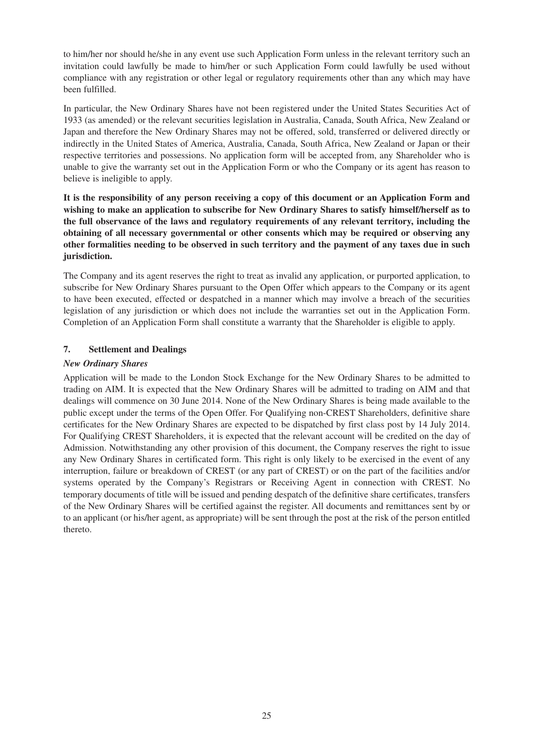to him/her nor should he/she in any event use such Application Form unless in the relevant territory such an invitation could lawfully be made to him/her or such Application Form could lawfully be used without compliance with any registration or other legal or regulatory requirements other than any which may have been fulfilled.

In particular, the New Ordinary Shares have not been registered under the United States Securities Act of 1933 (as amended) or the relevant securities legislation in Australia, Canada, South Africa, New Zealand or Japan and therefore the New Ordinary Shares may not be offered, sold, transferred or delivered directly or indirectly in the United States of America, Australia, Canada, South Africa, New Zealand or Japan or their respective territories and possessions. No application form will be accepted from, any Shareholder who is unable to give the warranty set out in the Application Form or who the Company or its agent has reason to believe is ineligible to apply.

**It is the responsibility of any person receiving a copy of this document or an Application Form and wishing to make an application to subscribe for New Ordinary Shares to satisfy himself/herself as to the full observance of the laws and regulatory requirements of any relevant territory, including the obtaining of all necessary governmental or other consents which may be required or observing any other formalities needing to be observed in such territory and the payment of any taxes due in such jurisdiction.**

The Company and its agent reserves the right to treat as invalid any application, or purported application, to subscribe for New Ordinary Shares pursuant to the Open Offer which appears to the Company or its agent to have been executed, effected or despatched in a manner which may involve a breach of the securities legislation of any jurisdiction or which does not include the warranties set out in the Application Form. Completion of an Application Form shall constitute a warranty that the Shareholder is eligible to apply.

# **7. Settlement and Dealings**

# *New Ordinary Shares*

Application will be made to the London Stock Exchange for the New Ordinary Shares to be admitted to trading on AIM. It is expected that the New Ordinary Shares will be admitted to trading on AIM and that dealings will commence on 30 June 2014. None of the New Ordinary Shares is being made available to the public except under the terms of the Open Offer. For Qualifying non-CREST Shareholders, definitive share certificates for the New Ordinary Shares are expected to be dispatched by first class post by 14 July 2014. For Qualifying CREST Shareholders, it is expected that the relevant account will be credited on the day of Admission. Notwithstanding any other provision of this document, the Company reserves the right to issue any New Ordinary Shares in certificated form. This right is only likely to be exercised in the event of any interruption, failure or breakdown of CREST (or any part of CREST) or on the part of the facilities and/or systems operated by the Company's Registrars or Receiving Agent in connection with CREST. No temporary documents of title will be issued and pending despatch of the definitive share certificates, transfers of the New Ordinary Shares will be certified against the register. All documents and remittances sent by or to an applicant (or his/her agent, as appropriate) will be sent through the post at the risk of the person entitled thereto.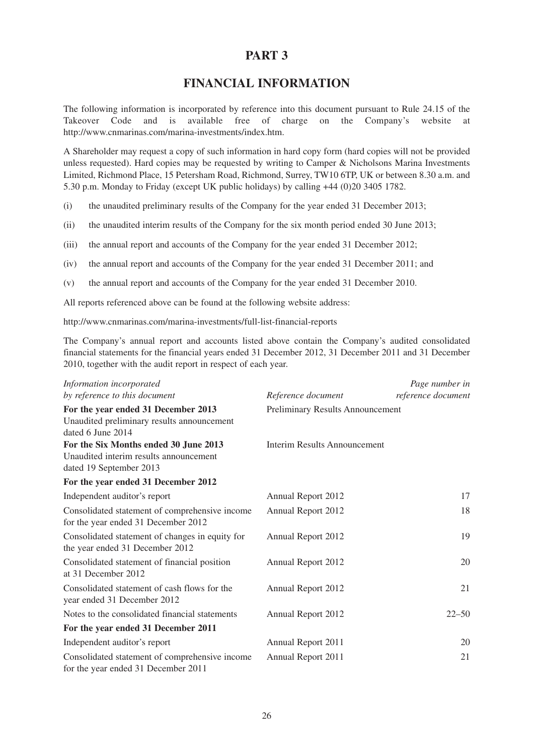# **PART 3**

# **FINANCIAL INFORMATION**

The following information is incorporated by reference into this document pursuant to Rule 24.15 of the Takeover Code and is available free of charge on the Company's website at http://www.cnmarinas.com/marina-investments/index.htm.

A Shareholder may request a copy of such information in hard copy form (hard copies will not be provided unless requested). Hard copies may be requested by writing to Camper & Nicholsons Marina Investments Limited, Richmond Place, 15 Petersham Road, Richmond, Surrey, TW10 6TP, UK or between 8.30 a.m. and 5.30 p.m. Monday to Friday (except UK public holidays) by calling +44 (0)20 3405 1782.

(i) the unaudited preliminary results of the Company for the year ended 31 December 2013;

- (ii) the unaudited interim results of the Company for the six month period ended 30 June 2013;
- (iii) the annual report and accounts of the Company for the year ended 31 December 2012;
- (iv) the annual report and accounts of the Company for the year ended 31 December 2011; and
- (v) the annual report and accounts of the Company for the year ended 31 December 2010.

All reports referenced above can be found at the following website address:

http://www.cnmarinas.com/marina-investments/full-list-financial-reports

The Company's annual report and accounts listed above contain the Company's audited consolidated financial statements for the financial years ended 31 December 2012, 31 December 2011 and 31 December 2010, together with the audit report in respect of each year.

| Information incorporated                                                                                   |                                     | Page number in     |
|------------------------------------------------------------------------------------------------------------|-------------------------------------|--------------------|
| by reference to this document                                                                              | Reference document                  | reference document |
| For the year ended 31 December 2013<br>Unaudited preliminary results announcement<br>dated 6 June 2014     | Preliminary Results Announcement    |                    |
| For the Six Months ended 30 June 2013<br>Unaudited interim results announcement<br>dated 19 September 2013 | <b>Interim Results Announcement</b> |                    |
| For the year ended 31 December 2012                                                                        |                                     |                    |
| Independent auditor's report                                                                               | Annual Report 2012                  | 17                 |
| Consolidated statement of comprehensive income<br>for the year ended 31 December 2012                      | Annual Report 2012                  | 18                 |
| Consolidated statement of changes in equity for<br>the year ended 31 December 2012                         | Annual Report 2012                  | 19                 |
| Consolidated statement of financial position<br>at 31 December 2012                                        | Annual Report 2012                  | 20                 |
| Consolidated statement of cash flows for the<br>year ended 31 December 2012                                | Annual Report 2012                  | 21                 |
| Notes to the consolidated financial statements                                                             | Annual Report 2012                  | $22 - 50$          |
| For the year ended 31 December 2011                                                                        |                                     |                    |
| Independent auditor's report                                                                               | Annual Report 2011                  | 20                 |
| Consolidated statement of comprehensive income<br>for the year ended 31 December 2011                      | Annual Report 2011                  | 21                 |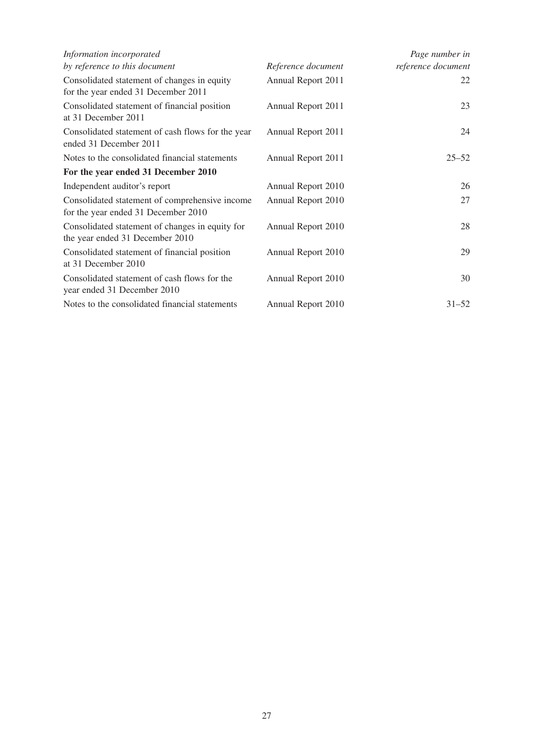| Information incorporated                                                              |                    | Page number in     |
|---------------------------------------------------------------------------------------|--------------------|--------------------|
| by reference to this document                                                         | Reference document | reference document |
| Consolidated statement of changes in equity<br>for the year ended 31 December 2011    | Annual Report 2011 | 22                 |
| Consolidated statement of financial position<br>at 31 December 2011                   | Annual Report 2011 | 23                 |
| Consolidated statement of cash flows for the year<br>ended 31 December 2011           | Annual Report 2011 | 24                 |
| Notes to the consolidated financial statements                                        | Annual Report 2011 | $25 - 52$          |
| For the year ended 31 December 2010                                                   |                    |                    |
| Independent auditor's report                                                          | Annual Report 2010 | 26                 |
| Consolidated statement of comprehensive income<br>for the year ended 31 December 2010 | Annual Report 2010 | 27                 |
| Consolidated statement of changes in equity for<br>the year ended 31 December 2010    | Annual Report 2010 | 28                 |
| Consolidated statement of financial position<br>at 31 December 2010                   | Annual Report 2010 | 29                 |
| Consolidated statement of cash flows for the<br>year ended 31 December 2010           | Annual Report 2010 | 30                 |
| Notes to the consolidated financial statements                                        | Annual Report 2010 | $31 - 52$          |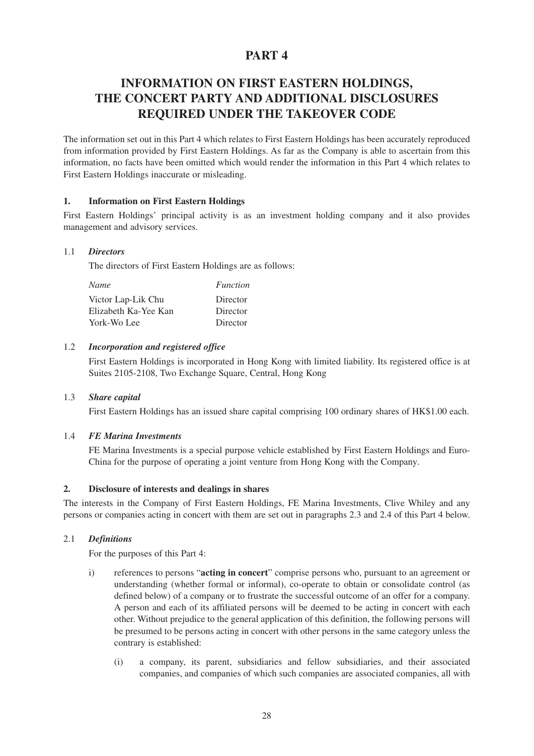# **PART 4**

# **INFORMATION ON FIRST EASTERN HOLDINGS, THE CONCERT PARTY AND ADDITIONAL DISCLOSURES REQUIRED UNDER THE TAKEOVER CODE**

The information set out in this Part 4 which relates to First Eastern Holdings has been accurately reproduced from information provided by First Eastern Holdings. As far as the Company is able to ascertain from this information, no facts have been omitted which would render the information in this Part 4 which relates to First Eastern Holdings inaccurate or misleading.

# **1. Information on First Eastern Holdings**

First Eastern Holdings' principal activity is as an investment holding company and it also provides management and advisory services.

# 1.1 *Directors*

The directors of First Eastern Holdings are as follows:

| <b>Name</b>          | <i>Function</i> |
|----------------------|-----------------|
| Victor Lap-Lik Chu   | Director        |
| Elizabeth Ka-Yee Kan | Director        |
| York-Wo Lee          | Director        |

# 1.2 *Incorporation and registered office*

First Eastern Holdings is incorporated in Hong Kong with limited liability. Its registered office is at Suites 2105-2108, Two Exchange Square, Central, Hong Kong

# 1.3 *Share capital*

First Eastern Holdings has an issued share capital comprising 100 ordinary shares of HK\$1.00 each.

# 1.4 *FE Marina Investments*

FE Marina Investments is a special purpose vehicle established by First Eastern Holdings and Euro-China for the purpose of operating a joint venture from Hong Kong with the Company.

# **2. Disclosure of interests and dealings in shares**

The interests in the Company of First Eastern Holdings, FE Marina Investments, Clive Whiley and any persons or companies acting in concert with them are set out in paragraphs 2.3 and 2.4 of this Part 4 below.

# 2.1 *Definitions*

For the purposes of this Part 4:

- i) references to persons "**acting in concert**" comprise persons who, pursuant to an agreement or understanding (whether formal or informal), co-operate to obtain or consolidate control (as defined below) of a company or to frustrate the successful outcome of an offer for a company. A person and each of its affiliated persons will be deemed to be acting in concert with each other. Without prejudice to the general application of this definition, the following persons will be presumed to be persons acting in concert with other persons in the same category unless the contrary is established:
	- (i) a company, its parent, subsidiaries and fellow subsidiaries, and their associated companies, and companies of which such companies are associated companies, all with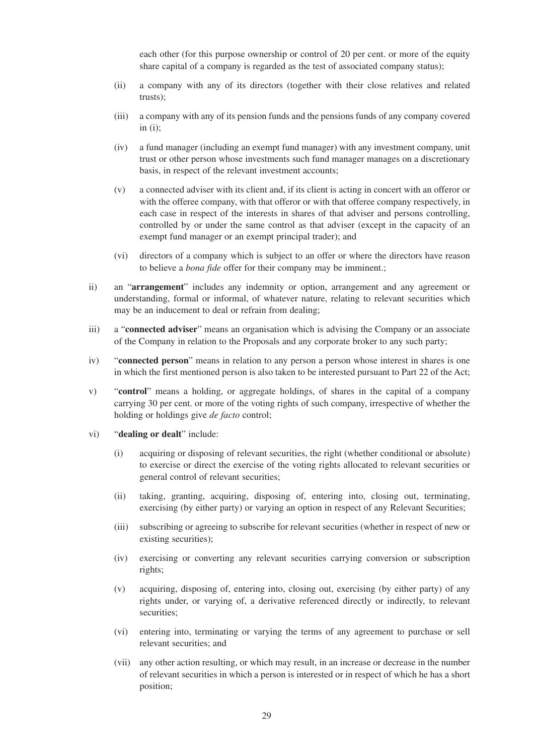each other (for this purpose ownership or control of 20 per cent. or more of the equity share capital of a company is regarded as the test of associated company status);

- (ii) a company with any of its directors (together with their close relatives and related trusts);
- (iii) a company with any of its pension funds and the pensions funds of any company covered in  $(i)$ ;
- (iv) a fund manager (including an exempt fund manager) with any investment company, unit trust or other person whose investments such fund manager manages on a discretionary basis, in respect of the relevant investment accounts;
- (v) a connected adviser with its client and, if its client is acting in concert with an offeror or with the offeree company, with that offeror or with that offeree company respectively, in each case in respect of the interests in shares of that adviser and persons controlling, controlled by or under the same control as that adviser (except in the capacity of an exempt fund manager or an exempt principal trader); and
- (vi) directors of a company which is subject to an offer or where the directors have reason to believe a *bona fide* offer for their company may be imminent.;
- ii) an "**arrangement**" includes any indemnity or option, arrangement and any agreement or understanding, formal or informal, of whatever nature, relating to relevant securities which may be an inducement to deal or refrain from dealing;
- iii) a "**connected adviser**" means an organisation which is advising the Company or an associate of the Company in relation to the Proposals and any corporate broker to any such party;
- iv) "**connected person**" means in relation to any person a person whose interest in shares is one in which the first mentioned person is also taken to be interested pursuant to Part 22 of the Act;
- v) "**control**" means a holding, or aggregate holdings, of shares in the capital of a company carrying 30 per cent. or more of the voting rights of such company, irrespective of whether the holding or holdings give *de facto* control;
- vi) "**dealing or dealt**" include:
	- (i) acquiring or disposing of relevant securities, the right (whether conditional or absolute) to exercise or direct the exercise of the voting rights allocated to relevant securities or general control of relevant securities;
	- (ii) taking, granting, acquiring, disposing of, entering into, closing out, terminating, exercising (by either party) or varying an option in respect of any Relevant Securities;
	- (iii) subscribing or agreeing to subscribe for relevant securities (whether in respect of new or existing securities);
	- (iv) exercising or converting any relevant securities carrying conversion or subscription rights;
	- (v) acquiring, disposing of, entering into, closing out, exercising (by either party) of any rights under, or varying of, a derivative referenced directly or indirectly, to relevant securities;
	- (vi) entering into, terminating or varying the terms of any agreement to purchase or sell relevant securities; and
	- (vii) any other action resulting, or which may result, in an increase or decrease in the number of relevant securities in which a person is interested or in respect of which he has a short position;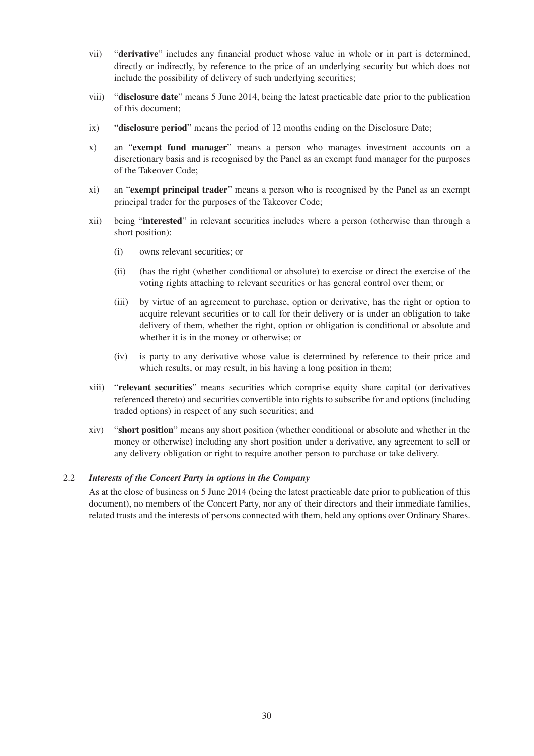- vii) "**derivative**" includes any financial product whose value in whole or in part is determined, directly or indirectly, by reference to the price of an underlying security but which does not include the possibility of delivery of such underlying securities;
- viii) "**disclosure date**" means 5 June 2014, being the latest practicable date prior to the publication of this document;
- ix) "**disclosure period**" means the period of 12 months ending on the Disclosure Date;
- x) an "**exempt fund manager**" means a person who manages investment accounts on a discretionary basis and is recognised by the Panel as an exempt fund manager for the purposes of the Takeover Code;
- xi) an "**exempt principal trader**" means a person who is recognised by the Panel as an exempt principal trader for the purposes of the Takeover Code;
- xii) being "**interested**" in relevant securities includes where a person (otherwise than through a short position):
	- (i) owns relevant securities; or
	- (ii) (has the right (whether conditional or absolute) to exercise or direct the exercise of the voting rights attaching to relevant securities or has general control over them; or
	- (iii) by virtue of an agreement to purchase, option or derivative, has the right or option to acquire relevant securities or to call for their delivery or is under an obligation to take delivery of them, whether the right, option or obligation is conditional or absolute and whether it is in the money or otherwise; or
	- (iv) is party to any derivative whose value is determined by reference to their price and which results, or may result, in his having a long position in them;
- xiii) "**relevant securities**" means securities which comprise equity share capital (or derivatives referenced thereto) and securities convertible into rights to subscribe for and options (including traded options) in respect of any such securities; and
- xiv) "**short position**" means any short position (whether conditional or absolute and whether in the money or otherwise) including any short position under a derivative, any agreement to sell or any delivery obligation or right to require another person to purchase or take delivery.

# 2.2 *Interests of the Concert Party in options in the Company*

As at the close of business on 5 June 2014 (being the latest practicable date prior to publication of this document), no members of the Concert Party, nor any of their directors and their immediate families, related trusts and the interests of persons connected with them, held any options over Ordinary Shares.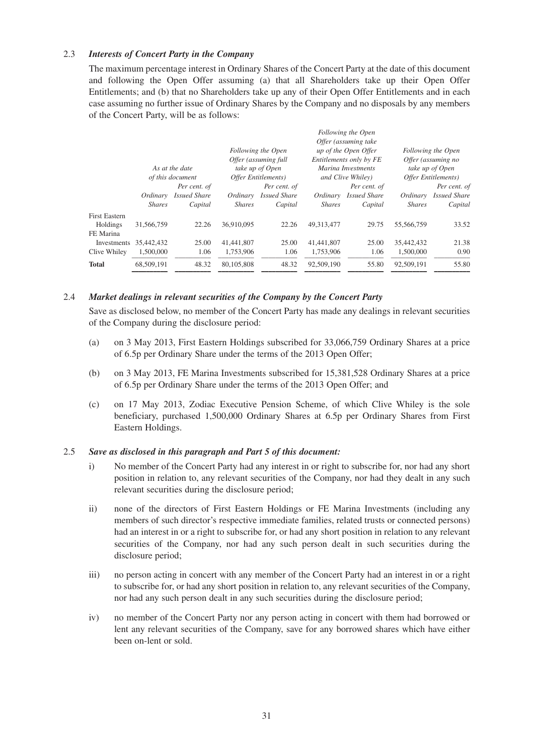#### 2.3 *Interests of Concert Party in the Company*

The maximum percentage interest in Ordinary Shares of the Concert Party at the date of this document and following the Open Offer assuming (a) that all Shareholders take up their Open Offer Entitlements; and (b) that no Shareholders take up any of their Open Offer Entitlements and in each case assuming no further issue of Ordinary Shares by the Company and no disposals by any members of the Concert Party, will be as follows:

|                                               | As at the date<br>of this document |                     |               | Following the Open<br>Offer (assuming full<br>take up of Open<br>Offer Entitlements) |               | Following the Open<br>Offer (assuming take<br>up of the Open Offer<br>Entitlements only by FE<br>Marina Investments<br>and Clive Whiley) |               | Following the Open<br>Offer (assuming no<br>take up of Open<br>Offer Entitlements) |
|-----------------------------------------------|------------------------------------|---------------------|---------------|--------------------------------------------------------------------------------------|---------------|------------------------------------------------------------------------------------------------------------------------------------------|---------------|------------------------------------------------------------------------------------|
|                                               |                                    | Per cent. of        |               | Per cent. of                                                                         |               | Per cent. of                                                                                                                             |               | Per cent. of                                                                       |
|                                               | Ordinary                           | <b>Issued Share</b> | Ordinary      | <b>Issued Share</b>                                                                  | Ordinary      | <b>Issued Share</b>                                                                                                                      | Ordinary      | <b>Issued Share</b>                                                                |
|                                               | <b>Shares</b>                      | Capital             | <i>Shares</i> | Capital                                                                              | <b>Shares</b> | Capital                                                                                                                                  | <b>Shares</b> | Capital                                                                            |
| <b>First Eastern</b><br>Holdings<br>FE Marina | 31,566,759                         | 22.26               | 36,910,095    | 22.26                                                                                | 49.313.477    | 29.75                                                                                                                                    | 55,566,759    | 33.52                                                                              |
| Investments                                   | 35,442,432                         | 25.00               | 41,441,807    | 25.00                                                                                | 41,441,807    | 25.00                                                                                                                                    | 35,442,432    | 21.38                                                                              |
| Clive Whiley                                  | 1.500,000                          | 1.06                | 1.753.906     | 1.06                                                                                 | 1,753,906     | 1.06                                                                                                                                     | 1.500,000     | 0.90                                                                               |
| <b>Total</b>                                  | 68,509,191                         | 48.32               | 80,105,808    | 48.32                                                                                | 92,509,190    | 55.80                                                                                                                                    | 92,509,191    | 55.80                                                                              |

#### 2.4 *Market dealings in relevant securities of the Company by the Concert Party*

Save as disclosed below, no member of the Concert Party has made any dealings in relevant securities of the Company during the disclosure period:

- (a) on 3 May 2013, First Eastern Holdings subscribed for 33,066,759 Ordinary Shares at a price of 6.5p per Ordinary Share under the terms of the 2013 Open Offer;
- (b) on 3 May 2013, FE Marina Investments subscribed for 15,381,528 Ordinary Shares at a price of 6.5p per Ordinary Share under the terms of the 2013 Open Offer; and
- (c) on 17 May 2013, Zodiac Executive Pension Scheme, of which Clive Whiley is the sole beneficiary, purchased 1,500,000 Ordinary Shares at 6.5p per Ordinary Shares from First Eastern Holdings.

#### 2.5 *Save as disclosed in this paragraph and Part 5 of this document:*

- i) No member of the Concert Party had any interest in or right to subscribe for, nor had any short position in relation to, any relevant securities of the Company, nor had they dealt in any such relevant securities during the disclosure period;
- ii) none of the directors of First Eastern Holdings or FE Marina Investments (including any members of such director's respective immediate families, related trusts or connected persons) had an interest in or a right to subscribe for, or had any short position in relation to any relevant securities of the Company, nor had any such person dealt in such securities during the disclosure period;
- iii) no person acting in concert with any member of the Concert Party had an interest in or a right to subscribe for, or had any short position in relation to, any relevant securities of the Company, nor had any such person dealt in any such securities during the disclosure period;
- iv) no member of the Concert Party nor any person acting in concert with them had borrowed or lent any relevant securities of the Company, save for any borrowed shares which have either been on-lent or sold.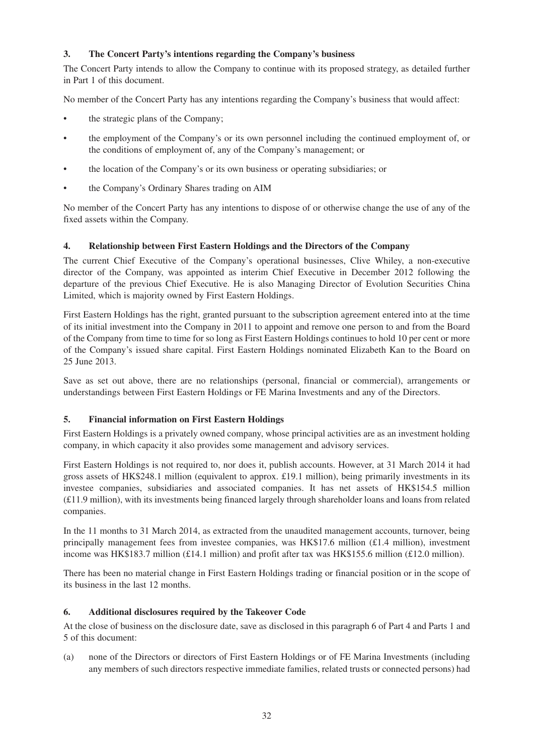# **3. The Concert Party's intentions regarding the Company's business**

The Concert Party intends to allow the Company to continue with its proposed strategy, as detailed further in Part 1 of this document.

No member of the Concert Party has any intentions regarding the Company's business that would affect:

- the strategic plans of the Company;
- the employment of the Company's or its own personnel including the continued employment of, or the conditions of employment of, any of the Company's management; or
- the location of the Company's or its own business or operating subsidiaries; or
- the Company's Ordinary Shares trading on AIM

No member of the Concert Party has any intentions to dispose of or otherwise change the use of any of the fixed assets within the Company.

# **4. Relationship between First Eastern Holdings and the Directors of the Company**

The current Chief Executive of the Company's operational businesses, Clive Whiley, a non-executive director of the Company, was appointed as interim Chief Executive in December 2012 following the departure of the previous Chief Executive. He is also Managing Director of Evolution Securities China Limited, which is majority owned by First Eastern Holdings.

First Eastern Holdings has the right, granted pursuant to the subscription agreement entered into at the time of its initial investment into the Company in 2011 to appoint and remove one person to and from the Board of the Company from time to time for so long as First Eastern Holdings continues to hold 10 per cent or more of the Company's issued share capital. First Eastern Holdings nominated Elizabeth Kan to the Board on 25 June 2013.

Save as set out above, there are no relationships (personal, financial or commercial), arrangements or understandings between First Eastern Holdings or FE Marina Investments and any of the Directors.

# **5. Financial information on First Eastern Holdings**

First Eastern Holdings is a privately owned company, whose principal activities are as an investment holding company, in which capacity it also provides some management and advisory services.

First Eastern Holdings is not required to, nor does it, publish accounts. However, at 31 March 2014 it had gross assets of HK\$248.1 million (equivalent to approx. £19.1 million), being primarily investments in its investee companies, subsidiaries and associated companies. It has net assets of HK\$154.5 million (£11.9 million), with its investments being financed largely through shareholder loans and loans from related companies.

In the 11 months to 31 March 2014, as extracted from the unaudited management accounts, turnover, being principally management fees from investee companies, was  $HK$17.6$  million (£1.4 million), investment income was HK\$183.7 million (£14.1 million) and profit after tax was HK\$155.6 million (£12.0 million).

There has been no material change in First Eastern Holdings trading or financial position or in the scope of its business in the last 12 months.

# **6. Additional disclosures required by the Takeover Code**

At the close of business on the disclosure date, save as disclosed in this paragraph 6 of Part 4 and Parts 1 and 5 of this document:

(a) none of the Directors or directors of First Eastern Holdings or of FE Marina Investments (including any members of such directors respective immediate families, related trusts or connected persons) had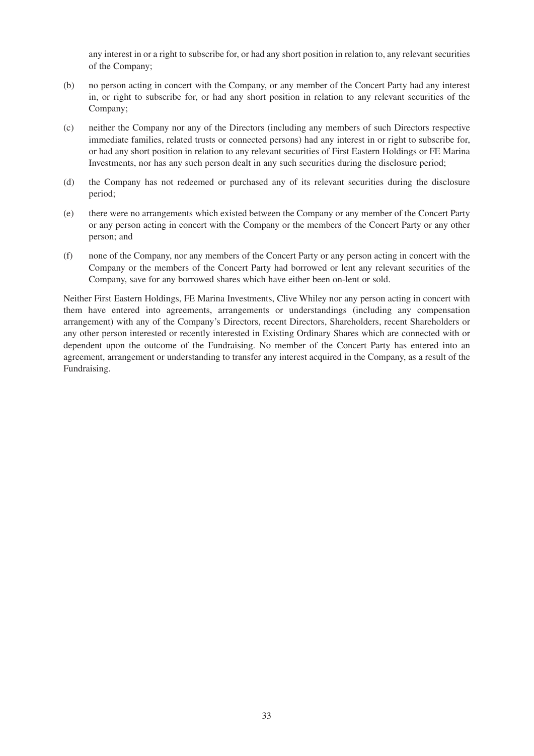any interest in or a right to subscribe for, or had any short position in relation to, any relevant securities of the Company;

- (b) no person acting in concert with the Company, or any member of the Concert Party had any interest in, or right to subscribe for, or had any short position in relation to any relevant securities of the Company;
- (c) neither the Company nor any of the Directors (including any members of such Directors respective immediate families, related trusts or connected persons) had any interest in or right to subscribe for, or had any short position in relation to any relevant securities of First Eastern Holdings or FE Marina Investments, nor has any such person dealt in any such securities during the disclosure period;
- (d) the Company has not redeemed or purchased any of its relevant securities during the disclosure period;
- (e) there were no arrangements which existed between the Company or any member of the Concert Party or any person acting in concert with the Company or the members of the Concert Party or any other person; and
- (f) none of the Company, nor any members of the Concert Party or any person acting in concert with the Company or the members of the Concert Party had borrowed or lent any relevant securities of the Company, save for any borrowed shares which have either been on-lent or sold.

Neither First Eastern Holdings, FE Marina Investments, Clive Whiley nor any person acting in concert with them have entered into agreements, arrangements or understandings (including any compensation arrangement) with any of the Company's Directors, recent Directors, Shareholders, recent Shareholders or any other person interested or recently interested in Existing Ordinary Shares which are connected with or dependent upon the outcome of the Fundraising. No member of the Concert Party has entered into an agreement, arrangement or understanding to transfer any interest acquired in the Company, as a result of the Fundraising.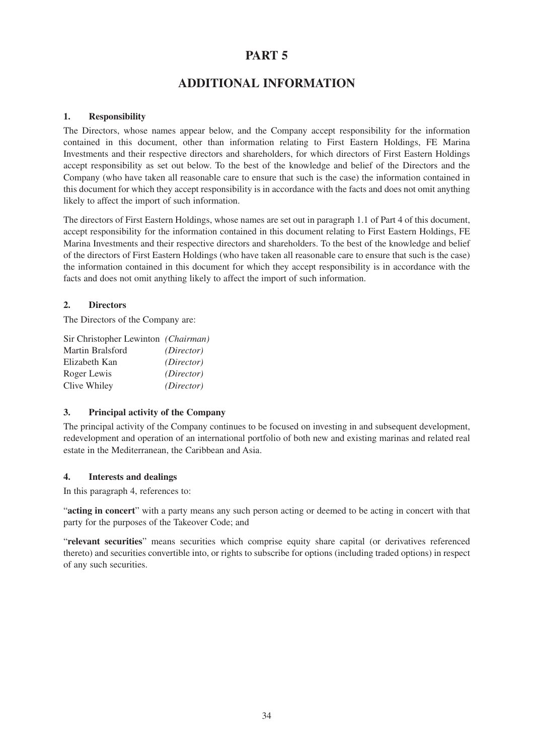# **PART 5**

# **ADDITIONAL INFORMATION**

# **1. Responsibility**

The Directors, whose names appear below, and the Company accept responsibility for the information contained in this document, other than information relating to First Eastern Holdings, FE Marina Investments and their respective directors and shareholders, for which directors of First Eastern Holdings accept responsibility as set out below. To the best of the knowledge and belief of the Directors and the Company (who have taken all reasonable care to ensure that such is the case) the information contained in this document for which they accept responsibility is in accordance with the facts and does not omit anything likely to affect the import of such information.

The directors of First Eastern Holdings, whose names are set out in paragraph 1.1 of Part 4 of this document, accept responsibility for the information contained in this document relating to First Eastern Holdings, FE Marina Investments and their respective directors and shareholders. To the best of the knowledge and belief of the directors of First Eastern Holdings (who have taken all reasonable care to ensure that such is the case) the information contained in this document for which they accept responsibility is in accordance with the facts and does not omit anything likely to affect the import of such information.

# **2. Directors**

The Directors of the Company are:

| Sir Christopher Lewinton (Chairman) |             |
|-------------------------------------|-------------|
| Martin Bralsford                    | (Director)  |
| Elizabeth Kan                       | (Direction) |
| Roger Lewis                         | (Direction) |
| Clive Whiley                        | (Director)  |

# **3. Principal activity of the Company**

The principal activity of the Company continues to be focused on investing in and subsequent development, redevelopment and operation of an international portfolio of both new and existing marinas and related real estate in the Mediterranean, the Caribbean and Asia.

# **4. Interests and dealings**

In this paragraph 4, references to:

"**acting in concert**" with a party means any such person acting or deemed to be acting in concert with that party for the purposes of the Takeover Code; and

"**relevant securities**" means securities which comprise equity share capital (or derivatives referenced thereto) and securities convertible into, or rights to subscribe for options (including traded options) in respect of any such securities.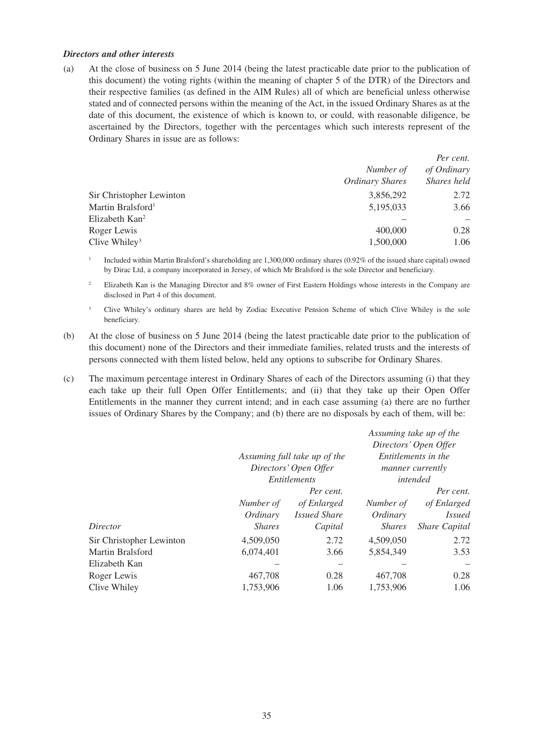#### *Directors and other interests*

(a) At the close of business on 5 June 2014 (being the latest practicable date prior to the publication of this document) the voting rights (within the meaning of chapter 5 of the DTR) of the Directors and their respective families (as defined in the AIM Rules) all of which are beneficial unless otherwise stated and of connected persons within the meaning of the Act, in the issued Ordinary Shares as at the date of this document, the existence of which is known to, or could, with reasonable diligence, be ascertained by the Directors, together with the percentages which such interests represent of the Ordinary Shares in issue are as follows:

|                               |                 | Per cent.   |  |
|-------------------------------|-----------------|-------------|--|
|                               | Number of       | of Ordinary |  |
|                               | Ordinary Shares | Shares held |  |
| Sir Christopher Lewinton      | 3,856,292       | 2.72        |  |
| Martin Bralsford <sup>1</sup> | 5,195,033       | 3.66        |  |
| Elizabeth Kan <sup>2</sup>    |                 |             |  |
| Roger Lewis                   | 400,000         | 0.28        |  |
| Clive Whiley <sup>3</sup>     | 1,500,000       | 1.06        |  |
|                               |                 |             |  |

<sup>1</sup> Included within Martin Bralsford's shareholding are 1,300,000 ordinary shares (0.92% of the issued share capital) owned by Dirac Ltd, a company incorporated in Jersey, of which Mr Bralsford is the sole Director and beneficiary.

<sup>2</sup> Elizabeth Kan is the Managing Director and 8% owner of First Eastern Holdings whose interests in the Company are disclosed in Part 4 of this document.

- <sup>3</sup> Clive Whiley's ordinary shares are held by Zodiac Executive Pension Scheme of which Clive Whiley is the sole beneficiary.
- (b) At the close of business on 5 June 2014 (being the latest practicable date prior to the publication of this document) none of the Directors and their immediate families, related trusts and the interests of persons connected with them listed below, held any options to subscribe for Ordinary Shares.
- (c) The maximum percentage interest in Ordinary Shares of each of the Directors assuming (i) that they each take up their full Open Offer Entitlements; and (ii) that they take up their Open Offer Entitlements in the manner they current intend; and in each case assuming (a) there are no further issues of Ordinary Shares by the Company; and (b) there are no disposals by each of them, will be:

|                          | Assuming full take up of the<br>Directors' Open Offer<br><i>Entitlements</i> |                     |               | Directors' Open Offer<br>Entitlements in the<br><i>manner currently</i><br>intended |
|--------------------------|------------------------------------------------------------------------------|---------------------|---------------|-------------------------------------------------------------------------------------|
|                          |                                                                              | Per cent.           |               | Per cent.                                                                           |
|                          | Number of                                                                    | of Enlarged         | Number of     | of Enlarged                                                                         |
|                          | Ordinary                                                                     | <i>Issued Share</i> | Ordinary      | <i>Issued</i>                                                                       |
| Director                 | <b>Shares</b>                                                                | Capital             | <i>Shares</i> | <i>Share Capital</i>                                                                |
| Sir Christopher Lewinton | 4,509,050                                                                    | 2.72                | 4,509,050     | 2.72                                                                                |
| Martin Bralsford         | 6,074,401                                                                    | 3.66                | 5,854,349     | 3.53                                                                                |
| Elizabeth Kan            |                                                                              |                     |               |                                                                                     |
| Roger Lewis              | 467,708                                                                      | 0.28                | 467,708       | 0.28                                                                                |
| Clive Whiley             | 1,753,906                                                                    | 1.06                | 1,753,906     | 1.06                                                                                |

*Assuming take up of the*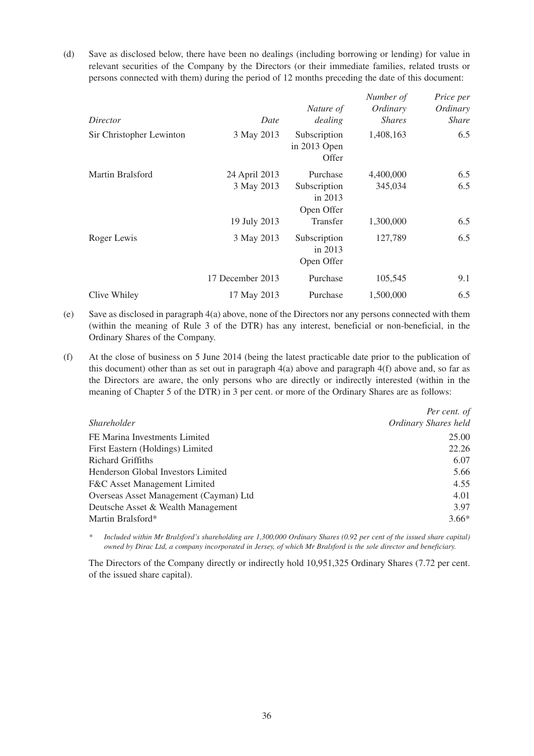(d) Save as disclosed below, there have been no dealings (including borrowing or lending) for value in relevant securities of the Company by the Directors (or their immediate families, related trusts or persons connected with them) during the period of 12 months preceding the date of this document:

|                          |                  | Nature of                               | Number of<br>Ordinary | Price per<br>Ordinary |
|--------------------------|------------------|-----------------------------------------|-----------------------|-----------------------|
| Director                 | Date             | dealing                                 | <i>Shares</i>         | <i>Share</i>          |
| Sir Christopher Lewinton | 3 May 2013       | Subscription<br>in 2013 Open<br>Offer   | 1,408,163             | 6.5                   |
| Martin Bralsford         | 24 April 2013    | Purchase                                | 4,400,000             | 6.5                   |
|                          | 3 May 2013       | Subscription<br>in $2013$<br>Open Offer | 345,034               | 6.5                   |
|                          | 19 July 2013     | <b>Transfer</b>                         | 1,300,000             | 6.5                   |
| Roger Lewis              | 3 May 2013       | Subscription<br>in $2013$<br>Open Offer | 127,789               | 6.5                   |
|                          | 17 December 2013 | Purchase                                | 105,545               | 9.1                   |
| Clive Whiley             | 17 May 2013      | Purchase                                | 1,500,000             | 6.5                   |

- (e) Save as disclosed in paragraph 4(a) above, none of the Directors nor any persons connected with them (within the meaning of Rule 3 of the DTR) has any interest, beneficial or non-beneficial, in the Ordinary Shares of the Company.
- (f) At the close of business on 5 June 2014 (being the latest practicable date prior to the publication of this document) other than as set out in paragraph  $4(a)$  above and paragraph  $4(f)$  above and, so far as the Directors are aware, the only persons who are directly or indirectly interested (within in the meaning of Chapter 5 of the DTR) in 3 per cent. or more of the Ordinary Shares are as follows:

|                                         | Per cent. of         |
|-----------------------------------------|----------------------|
| <i>Shareholder</i>                      | Ordinary Shares held |
| FE Marina Investments Limited           | 25.00                |
| First Eastern (Holdings) Limited        | 22.26                |
| <b>Richard Griffiths</b>                | 6.07                 |
| Henderson Global Investors Limited      | 5.66                 |
| <b>F&amp;C</b> Asset Management Limited | 4.55                 |
| Overseas Asset Management (Cayman) Ltd  | 4.01                 |
| Deutsche Asset & Wealth Management      | 3.97                 |
| Martin Bralsford*                       | $3.66*$              |

*\* Included within Mr Bralsford's shareholding are 1,300,000 Ordinary Shares (0.92 per cent of the issued share capital) owned by Dirac Ltd, a company incorporated in Jersey, of which Mr Bralsford is the sole director and beneficiary.*

The Directors of the Company directly or indirectly hold 10,951,325 Ordinary Shares (7.72 per cent. of the issued share capital).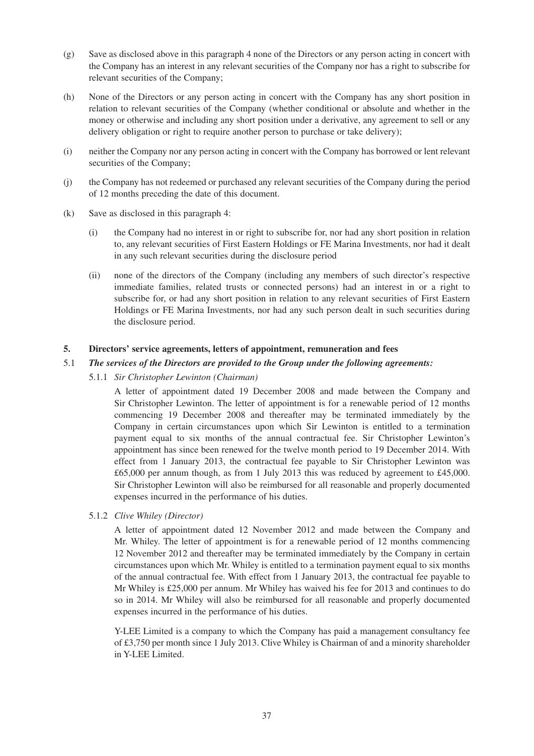- (g) Save as disclosed above in this paragraph 4 none of the Directors or any person acting in concert with the Company has an interest in any relevant securities of the Company nor has a right to subscribe for relevant securities of the Company;
- (h) None of the Directors or any person acting in concert with the Company has any short position in relation to relevant securities of the Company (whether conditional or absolute and whether in the money or otherwise and including any short position under a derivative, any agreement to sell or any delivery obligation or right to require another person to purchase or take delivery);
- (i) neither the Company nor any person acting in concert with the Company has borrowed or lent relevant securities of the Company;
- (j) the Company has not redeemed or purchased any relevant securities of the Company during the period of 12 months preceding the date of this document.
- (k) Save as disclosed in this paragraph 4:
	- (i) the Company had no interest in or right to subscribe for, nor had any short position in relation to, any relevant securities of First Eastern Holdings or FE Marina Investments, nor had it dealt in any such relevant securities during the disclosure period
	- (ii) none of the directors of the Company (including any members of such director's respective immediate families, related trusts or connected persons) had an interest in or a right to subscribe for, or had any short position in relation to any relevant securities of First Eastern Holdings or FE Marina Investments, nor had any such person dealt in such securities during the disclosure period.

# **5. Directors' service agreements, letters of appointment, remuneration and fees**

#### 5.1 *The services of the Directors are provided to the Group under the following agreements:*

5.1.1 *Sir Christopher Lewinton (Chairman)*

A letter of appointment dated 19 December 2008 and made between the Company and Sir Christopher Lewinton. The letter of appointment is for a renewable period of 12 months commencing 19 December 2008 and thereafter may be terminated immediately by the Company in certain circumstances upon which Sir Lewinton is entitled to a termination payment equal to six months of the annual contractual fee. Sir Christopher Lewinton's appointment has since been renewed for the twelve month period to 19 December 2014. With effect from 1 January 2013, the contractual fee payable to Sir Christopher Lewinton was £65,000 per annum though, as from 1 July 2013 this was reduced by agreement to £45,000. Sir Christopher Lewinton will also be reimbursed for all reasonable and properly documented expenses incurred in the performance of his duties.

5.1.2 *Clive Whiley (Director)*

A letter of appointment dated 12 November 2012 and made between the Company and Mr. Whiley. The letter of appointment is for a renewable period of 12 months commencing 12 November 2012 and thereafter may be terminated immediately by the Company in certain circumstances upon which Mr. Whiley is entitled to a termination payment equal to six months of the annual contractual fee. With effect from 1 January 2013, the contractual fee payable to Mr Whiley is £25,000 per annum. Mr Whiley has waived his fee for 2013 and continues to do so in 2014. Mr Whiley will also be reimbursed for all reasonable and properly documented expenses incurred in the performance of his duties.

Y-LEE Limited is a company to which the Company has paid a management consultancy fee of £3,750 per month since 1 July 2013. Clive Whiley is Chairman of and a minority shareholder in Y-LEE Limited.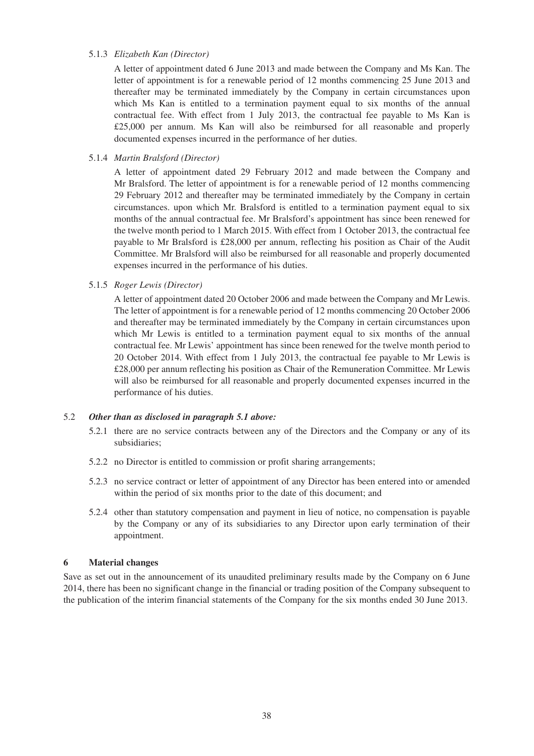#### 5.1.3 *Elizabeth Kan (Director)*

A letter of appointment dated 6 June 2013 and made between the Company and Ms Kan. The letter of appointment is for a renewable period of 12 months commencing 25 June 2013 and thereafter may be terminated immediately by the Company in certain circumstances upon which Ms Kan is entitled to a termination payment equal to six months of the annual contractual fee. With effect from 1 July 2013, the contractual fee payable to Ms Kan is £25,000 per annum. Ms Kan will also be reimbursed for all reasonable and properly documented expenses incurred in the performance of her duties.

#### 5.1.4 *Martin Bralsford (Director)*

A letter of appointment dated 29 February 2012 and made between the Company and Mr Bralsford. The letter of appointment is for a renewable period of 12 months commencing 29 February 2012 and thereafter may be terminated immediately by the Company in certain circumstances. upon which Mr. Bralsford is entitled to a termination payment equal to six months of the annual contractual fee. Mr Bralsford's appointment has since been renewed for the twelve month period to 1 March 2015. With effect from 1 October 2013, the contractual fee payable to Mr Bralsford is £28,000 per annum, reflecting his position as Chair of the Audit Committee. Mr Bralsford will also be reimbursed for all reasonable and properly documented expenses incurred in the performance of his duties.

#### 5.1.5 *Roger Lewis (Director)*

A letter of appointment dated 20 October 2006 and made between the Company and Mr Lewis. The letter of appointment is for a renewable period of 12 months commencing 20 October 2006 and thereafter may be terminated immediately by the Company in certain circumstances upon which Mr Lewis is entitled to a termination payment equal to six months of the annual contractual fee. Mr Lewis' appointment has since been renewed for the twelve month period to 20 October 2014. With effect from 1 July 2013, the contractual fee payable to Mr Lewis is £28,000 per annum reflecting his position as Chair of the Remuneration Committee. Mr Lewis will also be reimbursed for all reasonable and properly documented expenses incurred in the performance of his duties.

# 5.2 *Other than as disclosed in paragraph 5.1 above:*

- 5.2.1 there are no service contracts between any of the Directors and the Company or any of its subsidiaries;
- 5.2.2 no Director is entitled to commission or profit sharing arrangements;
- 5.2.3 no service contract or letter of appointment of any Director has been entered into or amended within the period of six months prior to the date of this document; and
- 5.2.4 other than statutory compensation and payment in lieu of notice, no compensation is payable by the Company or any of its subsidiaries to any Director upon early termination of their appointment.

#### **6 Material changes**

Save as set out in the announcement of its unaudited preliminary results made by the Company on 6 June 2014, there has been no significant change in the financial or trading position of the Company subsequent to the publication of the interim financial statements of the Company for the six months ended 30 June 2013.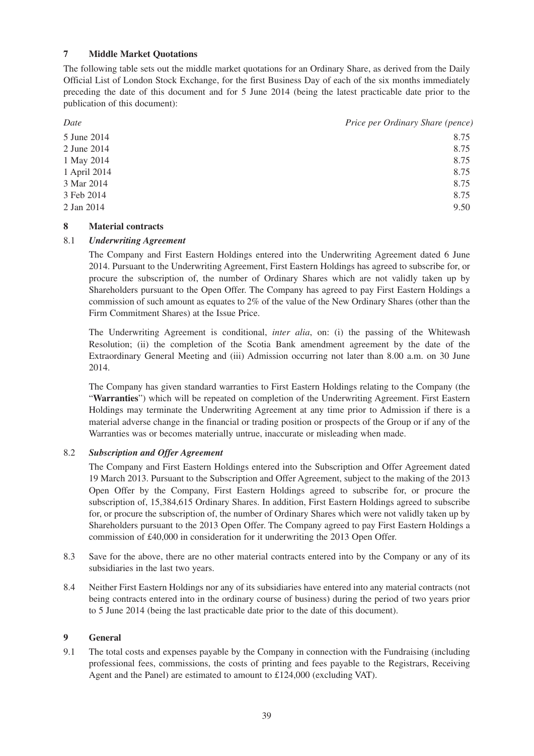# **7 Middle Market Quotations**

The following table sets out the middle market quotations for an Ordinary Share, as derived from the Daily Official List of London Stock Exchange, for the first Business Day of each of the six months immediately preceding the date of this document and for 5 June 2014 (being the latest practicable date prior to the publication of this document):

| Date         | Price per Ordinary Share (pence) |
|--------------|----------------------------------|
| 5 June 2014  | 8.75                             |
| 2 June 2014  | 8.75                             |
| 1 May 2014   | 8.75                             |
| 1 April 2014 | 8.75                             |
| 3 Mar 2014   | 8.75                             |
| 3 Feb 2014   | 8.75                             |
| 2 Jan 2014   | 9.50                             |

# **8 Material contracts**

# 8.1 *Underwriting Agreement*

The Company and First Eastern Holdings entered into the Underwriting Agreement dated 6 June 2014. Pursuant to the Underwriting Agreement, First Eastern Holdings has agreed to subscribe for, or procure the subscription of, the number of Ordinary Shares which are not validly taken up by Shareholders pursuant to the Open Offer. The Company has agreed to pay First Eastern Holdings a commission of such amount as equates to  $2\%$  of the value of the New Ordinary Shares (other than the Firm Commitment Shares) at the Issue Price.

The Underwriting Agreement is conditional, *inter alia*, on: (i) the passing of the Whitewash Resolution; (ii) the completion of the Scotia Bank amendment agreement by the date of the Extraordinary General Meeting and (iii) Admission occurring not later than 8.00 a.m. on 30 June 2014.

The Company has given standard warranties to First Eastern Holdings relating to the Company (the "**Warranties**") which will be repeated on completion of the Underwriting Agreement. First Eastern Holdings may terminate the Underwriting Agreement at any time prior to Admission if there is a material adverse change in the financial or trading position or prospects of the Group or if any of the Warranties was or becomes materially untrue, inaccurate or misleading when made.

# 8.2 *Subscription and Offer Agreement*

The Company and First Eastern Holdings entered into the Subscription and Offer Agreement dated 19 March 2013. Pursuant to the Subscription and Offer Agreement, subject to the making of the 2013 Open Offer by the Company, First Eastern Holdings agreed to subscribe for, or procure the subscription of, 15,384,615 Ordinary Shares. In addition, First Eastern Holdings agreed to subscribe for, or procure the subscription of, the number of Ordinary Shares which were not validly taken up by Shareholders pursuant to the 2013 Open Offer. The Company agreed to pay First Eastern Holdings a commission of £40,000 in consideration for it underwriting the 2013 Open Offer.

- 8.3 Save for the above, there are no other material contracts entered into by the Company or any of its subsidiaries in the last two years.
- 8.4 Neither First Eastern Holdings nor any of its subsidiaries have entered into any material contracts (not being contracts entered into in the ordinary course of business) during the period of two years prior to 5 June 2014 (being the last practicable date prior to the date of this document).

#### **9 General**

9.1 The total costs and expenses payable by the Company in connection with the Fundraising (including professional fees, commissions, the costs of printing and fees payable to the Registrars, Receiving Agent and the Panel) are estimated to amount to £124,000 (excluding VAT).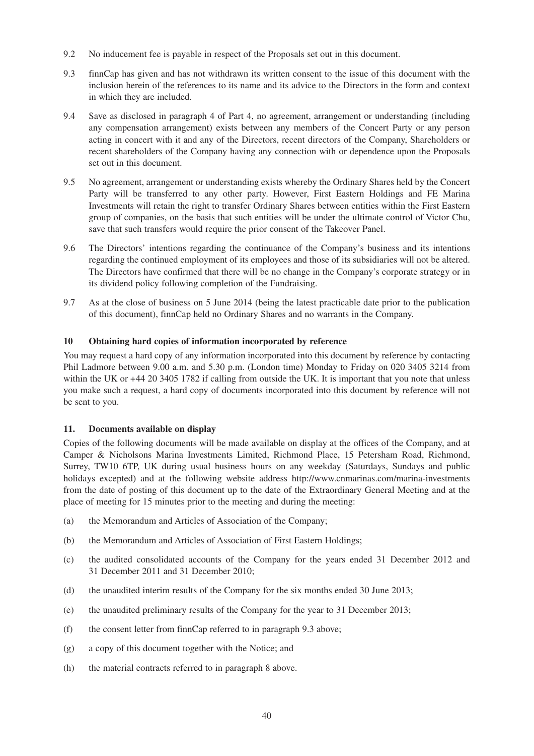- 9.2 No inducement fee is payable in respect of the Proposals set out in this document.
- 9.3 finnCap has given and has not withdrawn its written consent to the issue of this document with the inclusion herein of the references to its name and its advice to the Directors in the form and context in which they are included.
- 9.4 Save as disclosed in paragraph 4 of Part 4, no agreement, arrangement or understanding (including any compensation arrangement) exists between any members of the Concert Party or any person acting in concert with it and any of the Directors, recent directors of the Company, Shareholders or recent shareholders of the Company having any connection with or dependence upon the Proposals set out in this document.
- 9.5 No agreement, arrangement or understanding exists whereby the Ordinary Shares held by the Concert Party will be transferred to any other party. However, First Eastern Holdings and FE Marina Investments will retain the right to transfer Ordinary Shares between entities within the First Eastern group of companies, on the basis that such entities will be under the ultimate control of Victor Chu, save that such transfers would require the prior consent of the Takeover Panel.
- 9.6 The Directors' intentions regarding the continuance of the Company's business and its intentions regarding the continued employment of its employees and those of its subsidiaries will not be altered. The Directors have confirmed that there will be no change in the Company's corporate strategy or in its dividend policy following completion of the Fundraising.
- 9.7 As at the close of business on 5 June 2014 (being the latest practicable date prior to the publication of this document), finnCap held no Ordinary Shares and no warrants in the Company.

# **10 Obtaining hard copies of information incorporated by reference**

You may request a hard copy of any information incorporated into this document by reference by contacting Phil Ladmore between 9.00 a.m. and 5.30 p.m. (London time) Monday to Friday on 020 3405 3214 from within the UK or +44 20 3405 1782 if calling from outside the UK. It is important that you note that unless you make such a request, a hard copy of documents incorporated into this document by reference will not be sent to you.

# **11. Documents available on display**

Copies of the following documents will be made available on display at the offices of the Company, and at Camper & Nicholsons Marina Investments Limited, Richmond Place, 15 Petersham Road, Richmond, Surrey, TW10 6TP, UK during usual business hours on any weekday (Saturdays, Sundays and public holidays excepted) and at the following website address http://www.cnmarinas.com/marina-investments from the date of posting of this document up to the date of the Extraordinary General Meeting and at the place of meeting for 15 minutes prior to the meeting and during the meeting:

- (a) the Memorandum and Articles of Association of the Company;
- (b) the Memorandum and Articles of Association of First Eastern Holdings;
- (c) the audited consolidated accounts of the Company for the years ended 31 December 2012 and 31 December 2011 and 31 December 2010;
- (d) the unaudited interim results of the Company for the six months ended 30 June 2013;
- (e) the unaudited preliminary results of the Company for the year to 31 December 2013;
- (f) the consent letter from finnCap referred to in paragraph 9.3 above;
- (g) a copy of this document together with the Notice; and
- (h) the material contracts referred to in paragraph 8 above.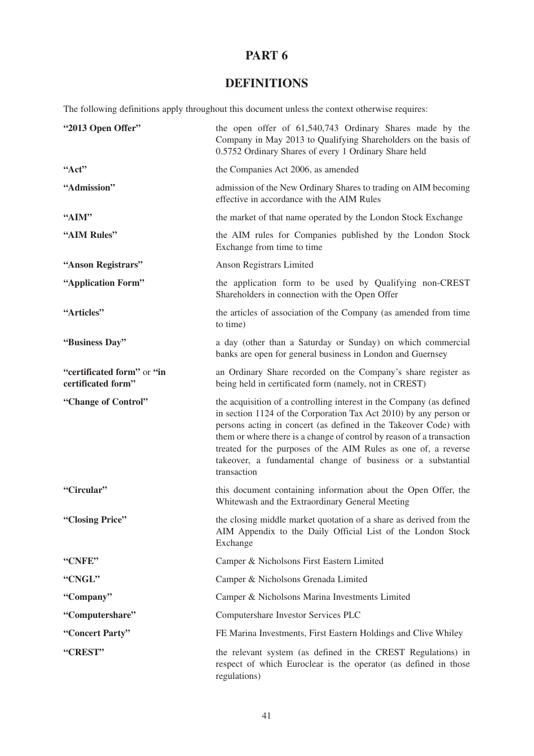# **PART 6**

# **DEFINITIONS**

The following definitions apply throughout this document unless the context otherwise requires:

| "2013 Open Offer"                                | the open offer of 61,540,743 Ordinary Shares made by the<br>Company in May 2013 to Qualifying Shareholders on the basis of<br>0.5752 Ordinary Shares of every 1 Ordinary Share held                                                                                                                                                                                                                                                    |
|--------------------------------------------------|----------------------------------------------------------------------------------------------------------------------------------------------------------------------------------------------------------------------------------------------------------------------------------------------------------------------------------------------------------------------------------------------------------------------------------------|
| Act                                              | the Companies Act 2006, as amended                                                                                                                                                                                                                                                                                                                                                                                                     |
| "Admission"                                      | admission of the New Ordinary Shares to trading on AIM becoming<br>effective in accordance with the AIM Rules                                                                                                                                                                                                                                                                                                                          |
| "AIM"                                            | the market of that name operated by the London Stock Exchange                                                                                                                                                                                                                                                                                                                                                                          |
| "AIM Rules"                                      | the AIM rules for Companies published by the London Stock<br>Exchange from time to time                                                                                                                                                                                                                                                                                                                                                |
| "Anson Registrars"                               | Anson Registrars Limited                                                                                                                                                                                                                                                                                                                                                                                                               |
| "Application Form"                               | the application form to be used by Qualifying non-CREST<br>Shareholders in connection with the Open Offer                                                                                                                                                                                                                                                                                                                              |
| "Articles"                                       | the articles of association of the Company (as amended from time<br>to time)                                                                                                                                                                                                                                                                                                                                                           |
| "Business Day"                                   | a day (other than a Saturday or Sunday) on which commercial<br>banks are open for general business in London and Guernsey                                                                                                                                                                                                                                                                                                              |
| "certificated form" or "in<br>certificated form" | an Ordinary Share recorded on the Company's share register as<br>being held in certificated form (namely, not in CREST)                                                                                                                                                                                                                                                                                                                |
| "Change of Control"                              | the acquisition of a controlling interest in the Company (as defined<br>in section 1124 of the Corporation Tax Act 2010) by any person or<br>persons acting in concert (as defined in the Takeover Code) with<br>them or where there is a change of control by reason of a transaction<br>treated for the purposes of the AIM Rules as one of, a reverse<br>takeover, a fundamental change of business or a substantial<br>transaction |
| "Circular"                                       | this document containing information about the Open Offer, the<br>Whitewash and the Extraordinary General Meeting                                                                                                                                                                                                                                                                                                                      |
| "Closing Price"                                  | the closing middle market quotation of a share as derived from the<br>AIM Appendix to the Daily Official List of the London Stock<br>Exchange                                                                                                                                                                                                                                                                                          |
| "CNFE"                                           | Camper & Nicholsons First Eastern Limited                                                                                                                                                                                                                                                                                                                                                                                              |
| "CNGL"                                           | Camper & Nicholsons Grenada Limited                                                                                                                                                                                                                                                                                                                                                                                                    |
| "Company"                                        | Camper & Nicholsons Marina Investments Limited                                                                                                                                                                                                                                                                                                                                                                                         |
| "Computershare"                                  | Computershare Investor Services PLC                                                                                                                                                                                                                                                                                                                                                                                                    |
| "Concert Party"                                  | FE Marina Investments, First Eastern Holdings and Clive Whiley                                                                                                                                                                                                                                                                                                                                                                         |
| "CREST"                                          | the relevant system (as defined in the CREST Regulations) in<br>respect of which Euroclear is the operator (as defined in those<br>regulations)                                                                                                                                                                                                                                                                                        |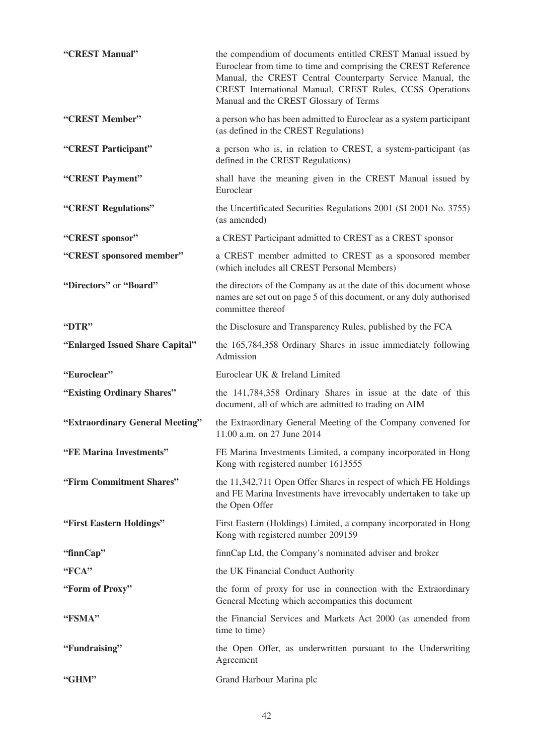| "CREST Manual"                  | the compendium of documents entitled CREST Manual issued by<br>Euroclear from time to time and comprising the CREST Reference<br>Manual, the CREST Central Counterparty Service Manual, the<br>CREST International Manual, CREST Rules, CCSS Operations<br>Manual and the CREST Glossary of Terms |
|---------------------------------|---------------------------------------------------------------------------------------------------------------------------------------------------------------------------------------------------------------------------------------------------------------------------------------------------|
| "CREST Member"                  | a person who has been admitted to Euroclear as a system participant<br>(as defined in the CREST Regulations)                                                                                                                                                                                      |
| "CREST Participant"             | a person who is, in relation to CREST, a system-participant (as<br>defined in the CREST Regulations)                                                                                                                                                                                              |
| "CREST Payment"                 | shall have the meaning given in the CREST Manual issued by<br>Euroclear                                                                                                                                                                                                                           |
| "CREST Regulations"             | the Uncertificated Securities Regulations 2001 (SI 2001 No. 3755)<br>(as amended)                                                                                                                                                                                                                 |
| "CREST sponsor"                 | a CREST Participant admitted to CREST as a CREST sponsor                                                                                                                                                                                                                                          |
| "CREST sponsored member"        | a CREST member admitted to CREST as a sponsored member<br>(which includes all CREST Personal Members)                                                                                                                                                                                             |
| "Directors" or "Board"          | the directors of the Company as at the date of this document whose<br>names are set out on page 5 of this document, or any duly authorised<br>committee thereof                                                                                                                                   |
| "DTR"                           | the Disclosure and Transparency Rules, published by the FCA                                                                                                                                                                                                                                       |
| "Enlarged Issued Share Capital" | the 165,784,358 Ordinary Shares in issue immediately following<br>Admission                                                                                                                                                                                                                       |
|                                 |                                                                                                                                                                                                                                                                                                   |
| "Euroclear"                     | Euroclear UK & Ireland Limited                                                                                                                                                                                                                                                                    |
| "Existing Ordinary Shares"      | the 141,784,358 Ordinary Shares in issue at the date of this<br>document, all of which are admitted to trading on AIM                                                                                                                                                                             |
| "Extraordinary General Meeting" | the Extraordinary General Meeting of the Company convened for<br>11.00 a.m. on 27 June 2014                                                                                                                                                                                                       |
| "FE Marina Investments"         | FE Marina Investments Limited, a company incorporated in Hong<br>Kong with registered number 1613555                                                                                                                                                                                              |
| "Firm Commitment Shares"        | the 11,342,711 Open Offer Shares in respect of which FE Holdings<br>and FE Marina Investments have irrevocably undertaken to take up<br>the Open Offer                                                                                                                                            |
| "First Eastern Holdings"        | First Eastern (Holdings) Limited, a company incorporated in Hong<br>Kong with registered number 209159                                                                                                                                                                                            |
| "finnCap"                       | finnCap Ltd, the Company's nominated adviser and broker                                                                                                                                                                                                                                           |
| "FCA"                           | the UK Financial Conduct Authority                                                                                                                                                                                                                                                                |
| "Form of Proxy"                 | the form of proxy for use in connection with the Extraordinary<br>General Meeting which accompanies this document                                                                                                                                                                                 |
| "FSMA"                          | the Financial Services and Markets Act 2000 (as amended from<br>time to time)                                                                                                                                                                                                                     |
| "Fundraising"                   | the Open Offer, as underwritten pursuant to the Underwriting<br>Agreement                                                                                                                                                                                                                         |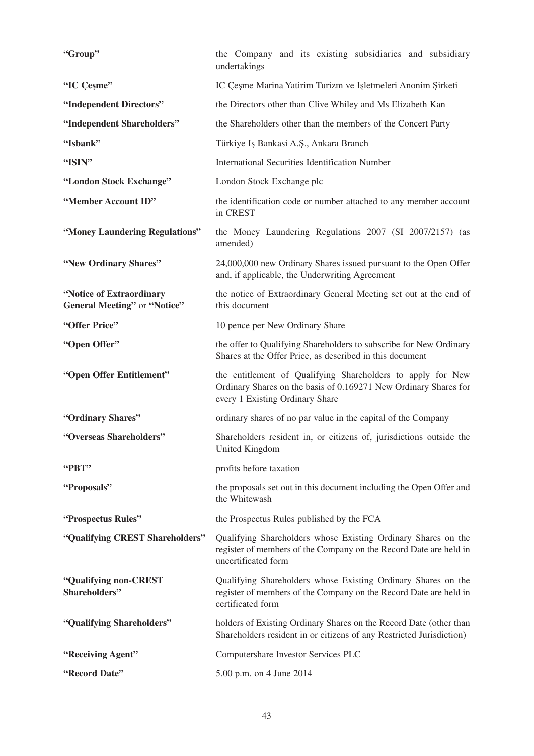| "Group"                                                  | the Company and its existing subsidiaries and subsidiary<br>undertakings                                                                                           |
|----------------------------------------------------------|--------------------------------------------------------------------------------------------------------------------------------------------------------------------|
| "IC Cesme"                                               | IC Çeşme Marina Yatirim Turizm ve Işletmeleri Anonim Şirketi                                                                                                       |
| "Independent Directors"                                  | the Directors other than Clive Whiley and Ms Elizabeth Kan                                                                                                         |
| "Independent Shareholders"                               | the Shareholders other than the members of the Concert Party                                                                                                       |
| "Isbank"                                                 | Türkiye Iş Bankasi A.Ş., Ankara Branch                                                                                                                             |
| "ISIN"                                                   | International Securities Identification Number                                                                                                                     |
| "London Stock Exchange"                                  | London Stock Exchange plc                                                                                                                                          |
| "Member Account ID"                                      | the identification code or number attached to any member account<br>in CREST                                                                                       |
| "Money Laundering Regulations"                           | the Money Laundering Regulations 2007 (SI 2007/2157) (as<br>amended)                                                                                               |
| "New Ordinary Shares"                                    | 24,000,000 new Ordinary Shares issued pursuant to the Open Offer<br>and, if applicable, the Underwriting Agreement                                                 |
| "Notice of Extraordinary<br>General Meeting" or "Notice" | the notice of Extraordinary General Meeting set out at the end of<br>this document                                                                                 |
| "Offer Price"                                            | 10 pence per New Ordinary Share                                                                                                                                    |
| "Open Offer"                                             | the offer to Qualifying Shareholders to subscribe for New Ordinary<br>Shares at the Offer Price, as described in this document                                     |
|                                                          |                                                                                                                                                                    |
| "Open Offer Entitlement"                                 | the entitlement of Qualifying Shareholders to apply for New<br>Ordinary Shares on the basis of 0.169271 New Ordinary Shares for<br>every 1 Existing Ordinary Share |
| "Ordinary Shares"                                        | ordinary shares of no par value in the capital of the Company                                                                                                      |
| "Overseas Shareholders"                                  | Shareholders resident in, or citizens of, jurisdictions outside the<br>United Kingdom                                                                              |
| "PBT"                                                    | profits before taxation                                                                                                                                            |
| "Proposals"                                              | the proposals set out in this document including the Open Offer and<br>the Whitewash                                                                               |
| "Prospectus Rules"                                       | the Prospectus Rules published by the FCA                                                                                                                          |
| "Qualifying CREST Shareholders"                          | Qualifying Shareholders whose Existing Ordinary Shares on the<br>register of members of the Company on the Record Date are held in<br>uncertificated form          |
| "Qualifying non-CREST<br>Shareholders"                   | Qualifying Shareholders whose Existing Ordinary Shares on the<br>register of members of the Company on the Record Date are held in<br>certificated form            |
| "Qualifying Shareholders"                                | holders of Existing Ordinary Shares on the Record Date (other than<br>Shareholders resident in or citizens of any Restricted Jurisdiction)                         |
| "Receiving Agent"                                        | Computershare Investor Services PLC                                                                                                                                |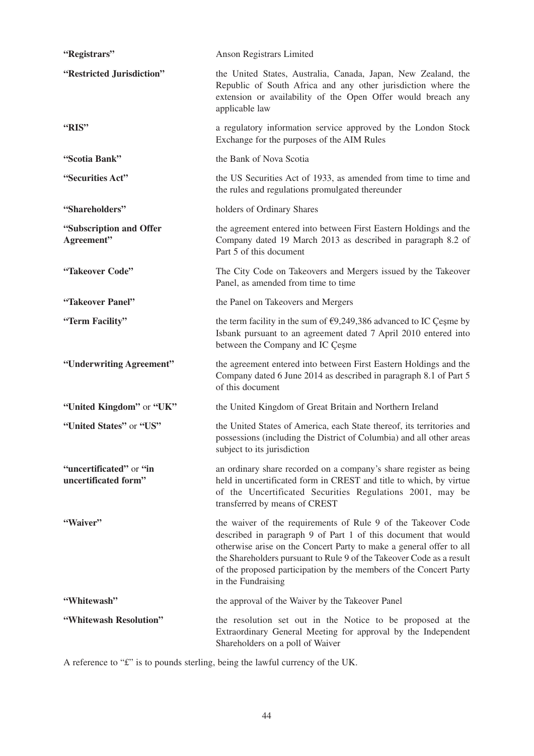| "Registrars"                                    | Anson Registrars Limited                                                                                                                                                                                                                                                                                                                                                  |
|-------------------------------------------------|---------------------------------------------------------------------------------------------------------------------------------------------------------------------------------------------------------------------------------------------------------------------------------------------------------------------------------------------------------------------------|
| "Restricted Jurisdiction"                       | the United States, Australia, Canada, Japan, New Zealand, the<br>Republic of South Africa and any other jurisdiction where the<br>extension or availability of the Open Offer would breach any<br>applicable law                                                                                                                                                          |
| "RIS"                                           | a regulatory information service approved by the London Stock<br>Exchange for the purposes of the AIM Rules                                                                                                                                                                                                                                                               |
| "Scotia Bank"                                   | the Bank of Nova Scotia                                                                                                                                                                                                                                                                                                                                                   |
| "Securities Act"                                | the US Securities Act of 1933, as amended from time to time and<br>the rules and regulations promulgated thereunder                                                                                                                                                                                                                                                       |
| "Shareholders"                                  | holders of Ordinary Shares                                                                                                                                                                                                                                                                                                                                                |
| "Subscription and Offer<br>Agreement"           | the agreement entered into between First Eastern Holdings and the<br>Company dated 19 March 2013 as described in paragraph 8.2 of<br>Part 5 of this document                                                                                                                                                                                                              |
| "Takeover Code"                                 | The City Code on Takeovers and Mergers issued by the Takeover<br>Panel, as amended from time to time                                                                                                                                                                                                                                                                      |
| "Takeover Panel"                                | the Panel on Takeovers and Mergers                                                                                                                                                                                                                                                                                                                                        |
| "Term Facility"                                 | the term facility in the sum of $\epsilon$ 9,249,386 advanced to IC Çeşme by<br>Isbank pursuant to an agreement dated 7 April 2010 entered into<br>between the Company and IC Çeşme                                                                                                                                                                                       |
| "Underwriting Agreement"                        | the agreement entered into between First Eastern Holdings and the<br>Company dated 6 June 2014 as described in paragraph 8.1 of Part 5<br>of this document                                                                                                                                                                                                                |
| "United Kingdom" or "UK"                        | the United Kingdom of Great Britain and Northern Ireland                                                                                                                                                                                                                                                                                                                  |
| "United States" or "US"                         | the United States of America, each State thereof, its territories and<br>possessions (including the District of Columbia) and all other areas<br>subject to its jurisdiction                                                                                                                                                                                              |
| "uncertificated" or "in<br>uncertificated form" | an ordinary share recorded on a company's share register as being<br>held in uncertificated form in CREST and title to which, by virtue<br>of the Uncertificated Securities Regulations 2001, may be<br>transferred by means of CREST                                                                                                                                     |
| "Waiver"                                        | the waiver of the requirements of Rule 9 of the Takeover Code<br>described in paragraph 9 of Part 1 of this document that would<br>otherwise arise on the Concert Party to make a general offer to all<br>the Shareholders pursuant to Rule 9 of the Takeover Code as a result<br>of the proposed participation by the members of the Concert Party<br>in the Fundraising |
| "Whitewash"                                     | the approval of the Waiver by the Takeover Panel                                                                                                                                                                                                                                                                                                                          |
| "Whitewash Resolution"                          | the resolution set out in the Notice to be proposed at the<br>Extraordinary General Meeting for approval by the Independent<br>Shareholders on a poll of Waiver                                                                                                                                                                                                           |

A reference to "£" is to pounds sterling, being the lawful currency of the UK.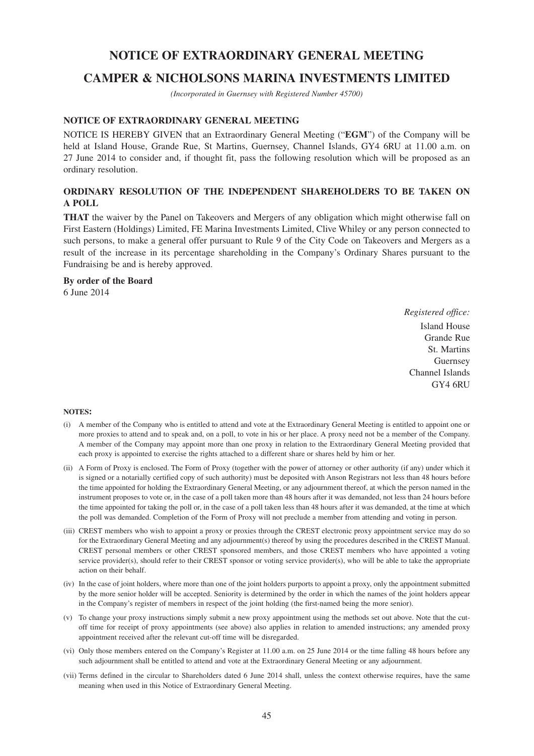# **NOTICE OF EXTRAORDINARY GENERAL MEETING**

# **CAMPER & NICHOLSONS MARINA INVESTMENTS LIMITED**

*(Incorporated in Guernsey with Registered Number 45700)*

#### **NOTICE OF EXTRAORDINARY GENERAL MEETING**

NOTICE IS HEREBY GIVEN that an Extraordinary General Meeting ("**EGM**") of the Company will be held at Island House, Grande Rue, St Martins, Guernsey, Channel Islands, GY4 6RU at 11.00 a.m. on 27 June 2014 to consider and, if thought fit, pass the following resolution which will be proposed as an ordinary resolution.

# **ORDINARY RESOLUTION OF THE INDEPENDENT SHAREHOLDERS TO BE TAKEN ON A POLL**

**THAT** the waiver by the Panel on Takeovers and Mergers of any obligation which might otherwise fall on First Eastern (Holdings) Limited, FE Marina Investments Limited, Clive Whiley or any person connected to such persons, to make a general offer pursuant to Rule 9 of the City Code on Takeovers and Mergers as a result of the increase in its percentage shareholding in the Company's Ordinary Shares pursuant to the Fundraising be and is hereby approved.

#### **By order of the Board**

6 June 2014

*Registered office:* Island House Grande Rue St. Martins Guernsey Channel Islands GY4 6RU

#### **NOTES:**

- (i) A member of the Company who is entitled to attend and vote at the Extraordinary General Meeting is entitled to appoint one or more proxies to attend and to speak and, on a poll, to vote in his or her place. A proxy need not be a member of the Company. A member of the Company may appoint more than one proxy in relation to the Extraordinary General Meeting provided that each proxy is appointed to exercise the rights attached to a different share or shares held by him or her.
- (ii) A Form of Proxy is enclosed. The Form of Proxy (together with the power of attorney or other authority (if any) under which it is signed or a notarially certified copy of such authority) must be deposited with Anson Registrars not less than 48 hours before the time appointed for holding the Extraordinary General Meeting, or any adjournment thereof, at which the person named in the instrument proposes to vote or, in the case of a poll taken more than 48 hours after it was demanded, not less than 24 hours before the time appointed for taking the poll or, in the case of a poll taken less than 48 hours after it was demanded, at the time at which the poll was demanded. Completion of the Form of Proxy will not preclude a member from attending and voting in person.
- (iii) CREST members who wish to appoint a proxy or proxies through the CREST electronic proxy appointment service may do so for the Extraordinary General Meeting and any adjournment(s) thereof by using the procedures described in the CREST Manual. CREST personal members or other CREST sponsored members, and those CREST members who have appointed a voting service provider(s), should refer to their CREST sponsor or voting service provider(s), who will be able to take the appropriate action on their behalf.
- (iv) In the case of joint holders, where more than one of the joint holders purports to appoint a proxy, only the appointment submitted by the more senior holder will be accepted. Seniority is determined by the order in which the names of the joint holders appear in the Company's register of members in respect of the joint holding (the first-named being the more senior).
- (v) To change your proxy instructions simply submit a new proxy appointment using the methods set out above. Note that the cutoff time for receipt of proxy appointments (see above) also applies in relation to amended instructions; any amended proxy appointment received after the relevant cut-off time will be disregarded.
- (vi) Only those members entered on the Company's Register at 11.00 a.m. on 25 June 2014 or the time falling 48 hours before any such adjournment shall be entitled to attend and vote at the Extraordinary General Meeting or any adjournment.
- (vii) Terms defined in the circular to Shareholders dated 6 June 2014 shall, unless the context otherwise requires, have the same meaning when used in this Notice of Extraordinary General Meeting.